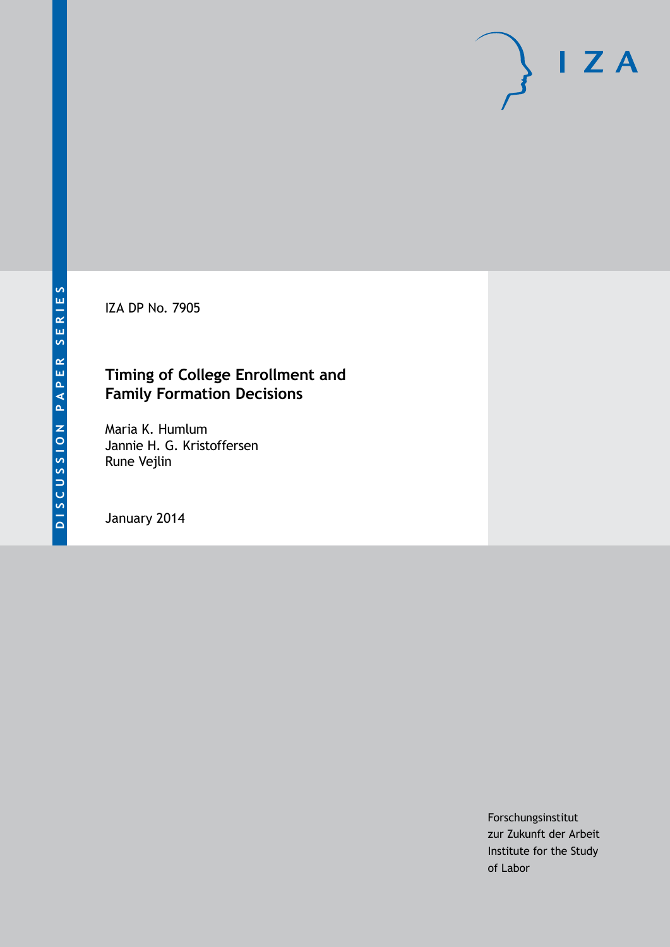IZA DP No. 7905

## **Timing of College Enrollment and Family Formation Decisions**

Maria K. Humlum Jannie H. G. Kristoffersen Rune Vejlin

January 2014

Forschungsinstitut zur Zukunft der Arbeit Institute for the Study of Labor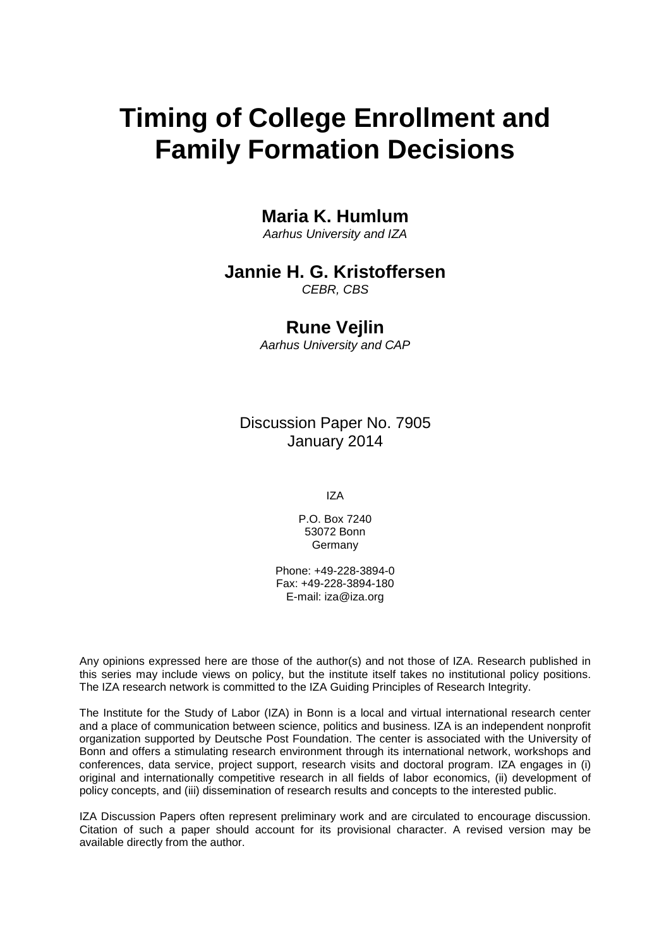# **Timing of College Enrollment and Family Formation Decisions**

## **Maria K. Humlum**

*Aarhus University and IZA*

## **Jannie H. G. Kristoffersen**

*CEBR, CBS*

## **Rune Vejlin**

*Aarhus University and CAP*

Discussion Paper No. 7905 January 2014

IZA

P.O. Box 7240 53072 Bonn Germany

Phone: +49-228-3894-0 Fax: +49-228-3894-180 E-mail: [iza@iza.org](mailto:iza@iza.org)

Any opinions expressed here are those of the author(s) and not those of IZA. Research published in this series may include views on policy, but the institute itself takes no institutional policy positions. The IZA research network is committed to the IZA Guiding Principles of Research Integrity.

The Institute for the Study of Labor (IZA) in Bonn is a local and virtual international research center and a place of communication between science, politics and business. IZA is an independent nonprofit organization supported by Deutsche Post Foundation. The center is associated with the University of Bonn and offers a stimulating research environment through its international network, workshops and conferences, data service, project support, research visits and doctoral program. IZA engages in (i) original and internationally competitive research in all fields of labor economics, (ii) development of policy concepts, and (iii) dissemination of research results and concepts to the interested public.

<span id="page-1-0"></span>IZA Discussion Papers often represent preliminary work and are circulated to encourage discussion. Citation of such a paper should account for its provisional character. A revised version may be available directly from the author.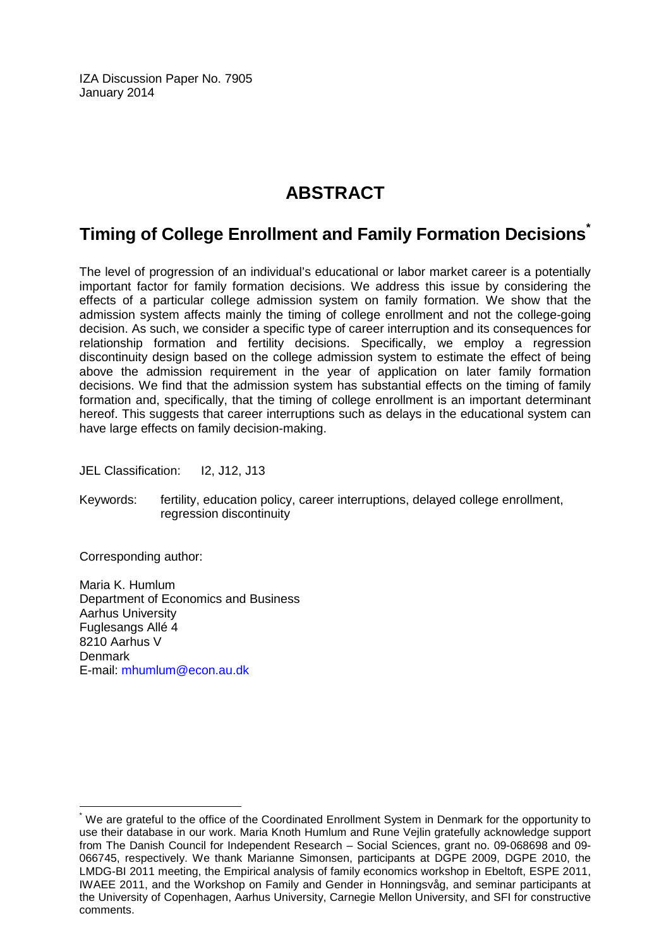IZA Discussion Paper No. 7905 January 2014

# **ABSTRACT**

## **Timing of College Enrollment and Family Formation Decisions[\\*](#page-1-0)**

The level of progression of an individual's educational or labor market career is a potentially important factor for family formation decisions. We address this issue by considering the effects of a particular college admission system on family formation. We show that the admission system affects mainly the timing of college enrollment and not the college-going decision. As such, we consider a specific type of career interruption and its consequences for relationship formation and fertility decisions. Specifically, we employ a regression discontinuity design based on the college admission system to estimate the effect of being above the admission requirement in the year of application on later family formation decisions. We find that the admission system has substantial effects on the timing of family formation and, specifically, that the timing of college enrollment is an important determinant hereof. This suggests that career interruptions such as delays in the educational system can have large effects on family decision-making.

JEL Classification: I2, J12, J13

Keywords: fertility, education policy, career interruptions, delayed college enrollment, regression discontinuity

Corresponding author:

Maria K. Humlum Department of Economics and Business Aarhus University Fuglesangs Allé 4 8210 Aarhus V **Denmark** E-mail: [mhumlum@econ.au.dk](mailto:mhumlum@econ.au.dk)

We are grateful to the office of the Coordinated Enrollment System in Denmark for the opportunity to use their database in our work. Maria Knoth Humlum and Rune Vejlin gratefully acknowledge support from The Danish Council for Independent Research – Social Sciences, grant no. 09-068698 and 09- 066745, respectively. We thank Marianne Simonsen, participants at DGPE 2009, DGPE 2010, the LMDG-BI 2011 meeting, the Empirical analysis of family economics workshop in Ebeltoft, ESPE 2011, IWAEE 2011, and the Workshop on Family and Gender in Honningsvåg, and seminar participants at the University of Copenhagen, Aarhus University, Carnegie Mellon University, and SFI for constructive comments.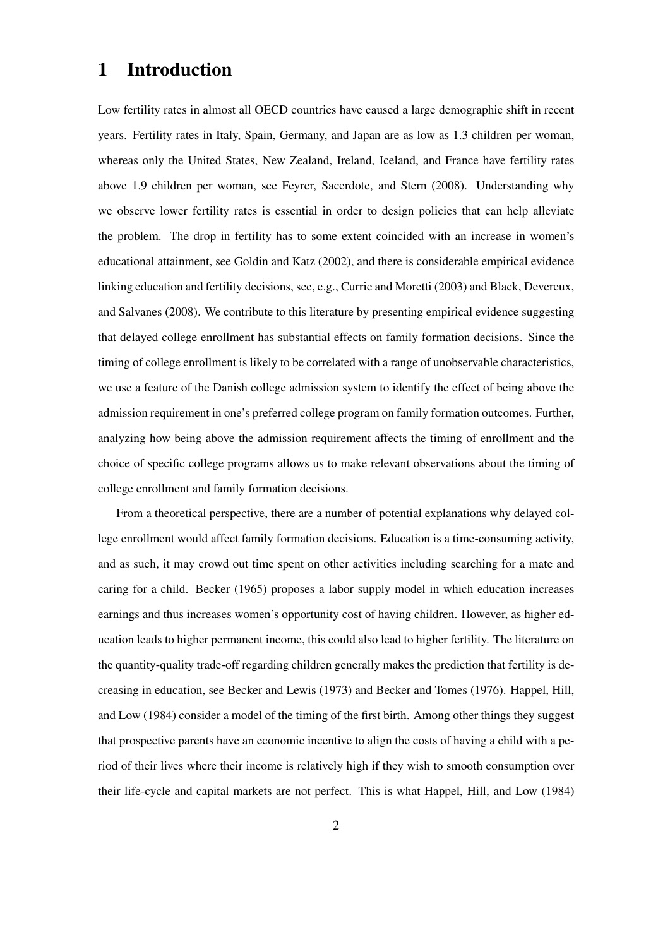## 1 Introduction

Low fertility rates in almost all OECD countries have caused a large demographic shift in recent years. Fertility rates in Italy, Spain, Germany, and Japan are as low as 1.3 children per woman, whereas only the United States, New Zealand, Ireland, Iceland, and France have fertility rates above 1.9 children per woman, see Feyrer, Sacerdote, and Stern (2008). Understanding why we observe lower fertility rates is essential in order to design policies that can help alleviate the problem. The drop in fertility has to some extent coincided with an increase in women's educational attainment, see Goldin and Katz (2002), and there is considerable empirical evidence linking education and fertility decisions, see, e.g., Currie and Moretti (2003) and Black, Devereux, and Salvanes (2008). We contribute to this literature by presenting empirical evidence suggesting that delayed college enrollment has substantial effects on family formation decisions. Since the timing of college enrollment is likely to be correlated with a range of unobservable characteristics, we use a feature of the Danish college admission system to identify the effect of being above the admission requirement in one's preferred college program on family formation outcomes. Further, analyzing how being above the admission requirement affects the timing of enrollment and the choice of specific college programs allows us to make relevant observations about the timing of college enrollment and family formation decisions.

From a theoretical perspective, there are a number of potential explanations why delayed college enrollment would affect family formation decisions. Education is a time-consuming activity, and as such, it may crowd out time spent on other activities including searching for a mate and caring for a child. Becker (1965) proposes a labor supply model in which education increases earnings and thus increases women's opportunity cost of having children. However, as higher education leads to higher permanent income, this could also lead to higher fertility. The literature on the quantity-quality trade-off regarding children generally makes the prediction that fertility is decreasing in education, see Becker and Lewis (1973) and Becker and Tomes (1976). Happel, Hill, and Low (1984) consider a model of the timing of the first birth. Among other things they suggest that prospective parents have an economic incentive to align the costs of having a child with a period of their lives where their income is relatively high if they wish to smooth consumption over their life-cycle and capital markets are not perfect. This is what Happel, Hill, and Low (1984)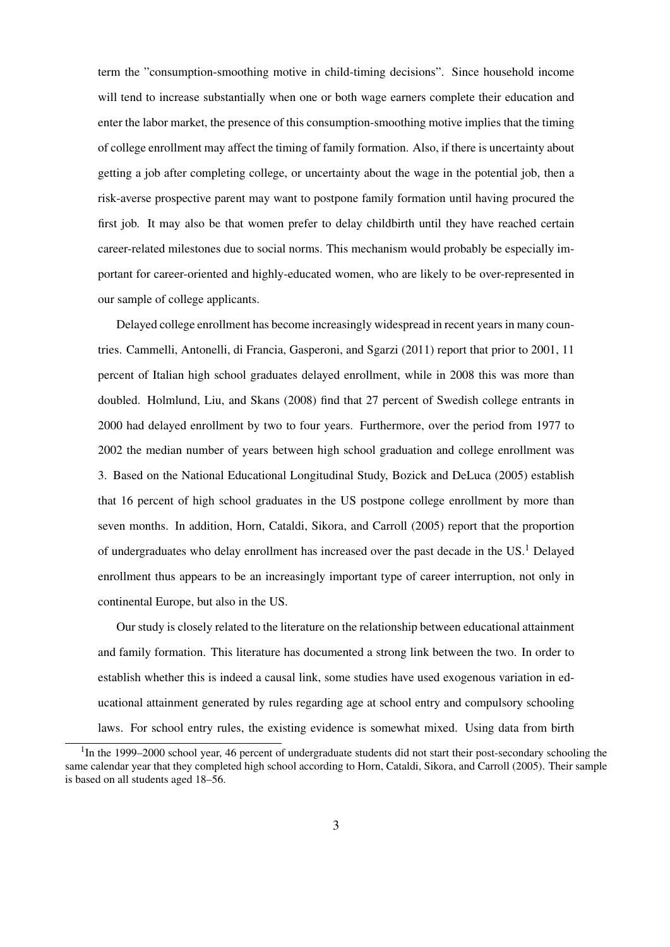term the "consumption-smoothing motive in child-timing decisions". Since household income will tend to increase substantially when one or both wage earners complete their education and enter the labor market, the presence of this consumption-smoothing motive implies that the timing of college enrollment may affect the timing of family formation. Also, if there is uncertainty about getting a job after completing college, or uncertainty about the wage in the potential job, then a risk-averse prospective parent may want to postpone family formation until having procured the first job. It may also be that women prefer to delay childbirth until they have reached certain career-related milestones due to social norms. This mechanism would probably be especially important for career-oriented and highly-educated women, who are likely to be over-represented in our sample of college applicants.

Delayed college enrollment has become increasingly widespread in recent years in many countries. Cammelli, Antonelli, di Francia, Gasperoni, and Sgarzi (2011) report that prior to 2001, 11 percent of Italian high school graduates delayed enrollment, while in 2008 this was more than doubled. Holmlund, Liu, and Skans (2008) find that 27 percent of Swedish college entrants in 2000 had delayed enrollment by two to four years. Furthermore, over the period from 1977 to 2002 the median number of years between high school graduation and college enrollment was 3. Based on the National Educational Longitudinal Study, Bozick and DeLuca (2005) establish that 16 percent of high school graduates in the US postpone college enrollment by more than seven months. In addition, Horn, Cataldi, Sikora, and Carroll (2005) report that the proportion of undergraduates who delay enrollment has increased over the past decade in the US.<sup>1</sup> Delayed enrollment thus appears to be an increasingly important type of career interruption, not only in continental Europe, but also in the US.

Our study is closely related to the literature on the relationship between educational attainment and family formation. This literature has documented a strong link between the two. In order to establish whether this is indeed a causal link, some studies have used exogenous variation in educational attainment generated by rules regarding age at school entry and compulsory schooling laws. For school entry rules, the existing evidence is somewhat mixed. Using data from birth

<sup>&</sup>lt;sup>1</sup>In the 1999–2000 school year, 46 percent of undergraduate students did not start their post-secondary schooling the same calendar year that they completed high school according to Horn, Cataldi, Sikora, and Carroll (2005). Their sample is based on all students aged 18–56.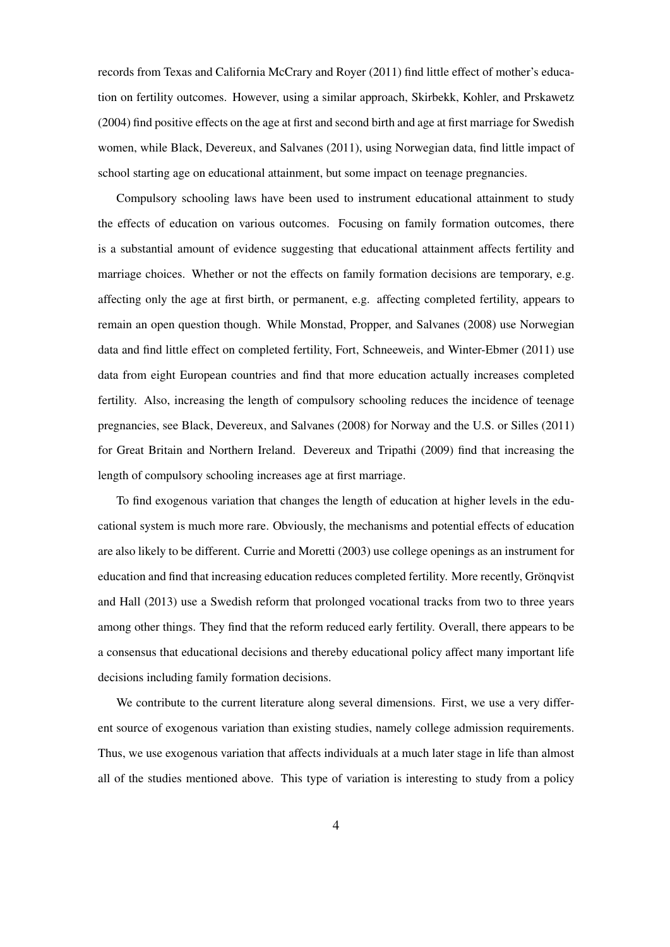records from Texas and California McCrary and Royer (2011) find little effect of mother's education on fertility outcomes. However, using a similar approach, Skirbekk, Kohler, and Prskawetz (2004) find positive effects on the age at first and second birth and age at first marriage for Swedish women, while Black, Devereux, and Salvanes (2011), using Norwegian data, find little impact of school starting age on educational attainment, but some impact on teenage pregnancies.

Compulsory schooling laws have been used to instrument educational attainment to study the effects of education on various outcomes. Focusing on family formation outcomes, there is a substantial amount of evidence suggesting that educational attainment affects fertility and marriage choices. Whether or not the effects on family formation decisions are temporary, e.g. affecting only the age at first birth, or permanent, e.g. affecting completed fertility, appears to remain an open question though. While Monstad, Propper, and Salvanes (2008) use Norwegian data and find little effect on completed fertility, Fort, Schneeweis, and Winter-Ebmer (2011) use data from eight European countries and find that more education actually increases completed fertility. Also, increasing the length of compulsory schooling reduces the incidence of teenage pregnancies, see Black, Devereux, and Salvanes (2008) for Norway and the U.S. or Silles (2011) for Great Britain and Northern Ireland. Devereux and Tripathi (2009) find that increasing the length of compulsory schooling increases age at first marriage.

To find exogenous variation that changes the length of education at higher levels in the educational system is much more rare. Obviously, the mechanisms and potential effects of education are also likely to be different. Currie and Moretti (2003) use college openings as an instrument for education and find that increasing education reduces completed fertility. More recently, Grönqvist and Hall (2013) use a Swedish reform that prolonged vocational tracks from two to three years among other things. They find that the reform reduced early fertility. Overall, there appears to be a consensus that educational decisions and thereby educational policy affect many important life decisions including family formation decisions.

We contribute to the current literature along several dimensions. First, we use a very different source of exogenous variation than existing studies, namely college admission requirements. Thus, we use exogenous variation that affects individuals at a much later stage in life than almost all of the studies mentioned above. This type of variation is interesting to study from a policy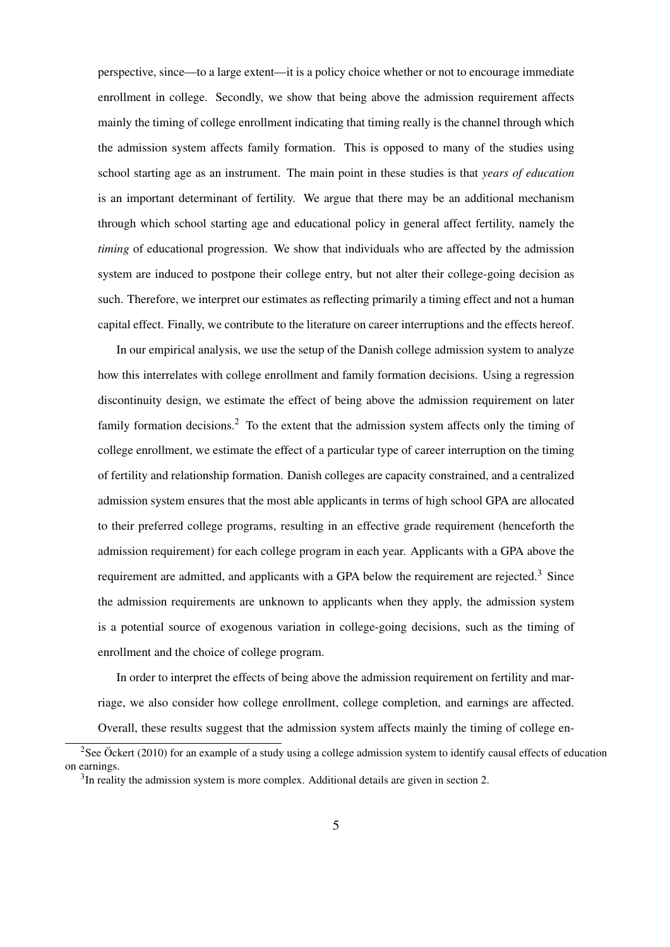perspective, since—to a large extent—it is a policy choice whether or not to encourage immediate enrollment in college. Secondly, we show that being above the admission requirement affects mainly the timing of college enrollment indicating that timing really is the channel through which the admission system affects family formation. This is opposed to many of the studies using school starting age as an instrument. The main point in these studies is that *years of education* is an important determinant of fertility. We argue that there may be an additional mechanism through which school starting age and educational policy in general affect fertility, namely the *timing* of educational progression. We show that individuals who are affected by the admission system are induced to postpone their college entry, but not alter their college-going decision as such. Therefore, we interpret our estimates as reflecting primarily a timing effect and not a human capital effect. Finally, we contribute to the literature on career interruptions and the effects hereof.

In our empirical analysis, we use the setup of the Danish college admission system to analyze how this interrelates with college enrollment and family formation decisions. Using a regression discontinuity design, we estimate the effect of being above the admission requirement on later family formation decisions.<sup>2</sup> To the extent that the admission system affects only the timing of college enrollment, we estimate the effect of a particular type of career interruption on the timing of fertility and relationship formation. Danish colleges are capacity constrained, and a centralized admission system ensures that the most able applicants in terms of high school GPA are allocated to their preferred college programs, resulting in an effective grade requirement (henceforth the admission requirement) for each college program in each year. Applicants with a GPA above the requirement are admitted, and applicants with a GPA below the requirement are rejected.<sup>3</sup> Since the admission requirements are unknown to applicants when they apply, the admission system is a potential source of exogenous variation in college-going decisions, such as the timing of enrollment and the choice of college program.

In order to interpret the effects of being above the admission requirement on fertility and marriage, we also consider how college enrollment, college completion, and earnings are affected. Overall, these results suggest that the admission system affects mainly the timing of college en-

<sup>&</sup>lt;sup>2</sup>See Öckert (2010) for an example of a study using a college admission system to identify causal effects of education on earnings.

 $3$ In reality the admission system is more complex. Additional details are given in section 2.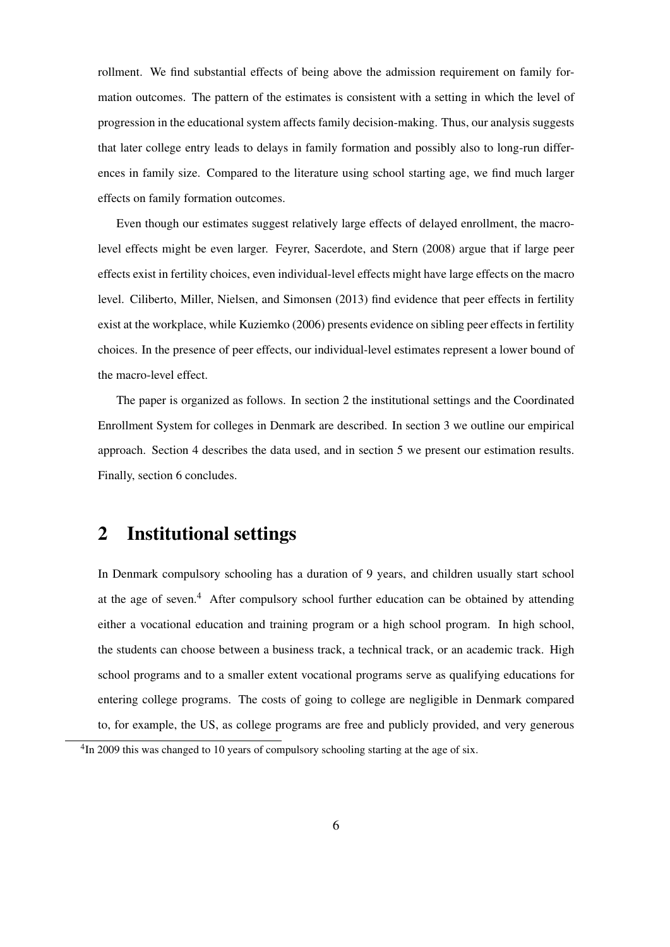rollment. We find substantial effects of being above the admission requirement on family formation outcomes. The pattern of the estimates is consistent with a setting in which the level of progression in the educational system affects family decision-making. Thus, our analysis suggests that later college entry leads to delays in family formation and possibly also to long-run differences in family size. Compared to the literature using school starting age, we find much larger effects on family formation outcomes.

Even though our estimates suggest relatively large effects of delayed enrollment, the macrolevel effects might be even larger. Feyrer, Sacerdote, and Stern (2008) argue that if large peer effects exist in fertility choices, even individual-level effects might have large effects on the macro level. Ciliberto, Miller, Nielsen, and Simonsen (2013) find evidence that peer effects in fertility exist at the workplace, while Kuziemko (2006) presents evidence on sibling peer effects in fertility choices. In the presence of peer effects, our individual-level estimates represent a lower bound of the macro-level effect.

The paper is organized as follows. In section 2 the institutional settings and the Coordinated Enrollment System for colleges in Denmark are described. In section 3 we outline our empirical approach. Section 4 describes the data used, and in section 5 we present our estimation results. Finally, section 6 concludes.

## 2 Institutional settings

In Denmark compulsory schooling has a duration of 9 years, and children usually start school at the age of seven.<sup>4</sup> After compulsory school further education can be obtained by attending either a vocational education and training program or a high school program. In high school, the students can choose between a business track, a technical track, or an academic track. High school programs and to a smaller extent vocational programs serve as qualifying educations for entering college programs. The costs of going to college are negligible in Denmark compared to, for example, the US, as college programs are free and publicly provided, and very generous

<sup>&</sup>lt;sup>4</sup>In 2009 this was changed to 10 years of compulsory schooling starting at the age of six.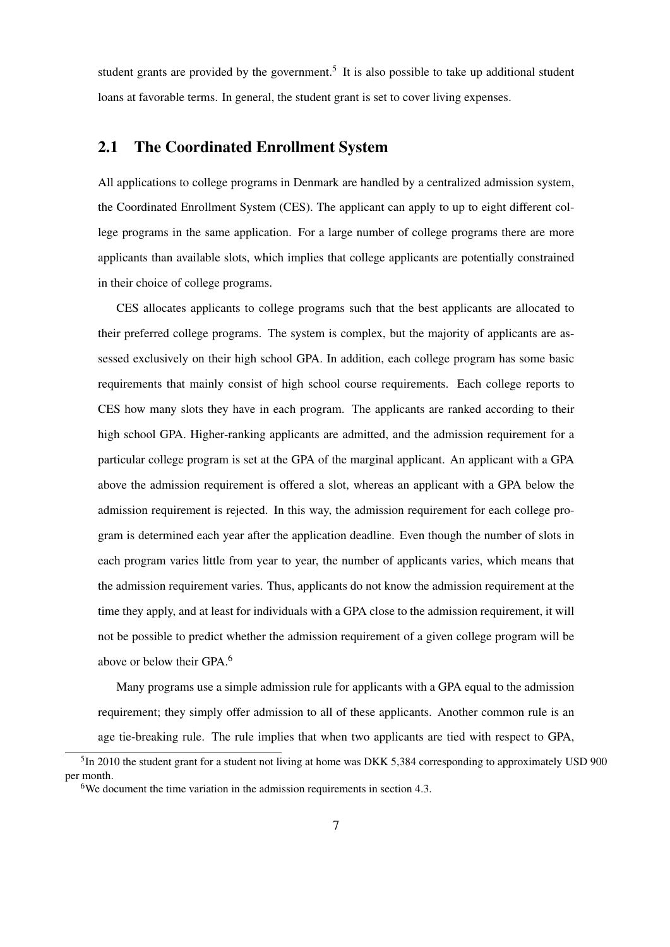student grants are provided by the government.<sup>5</sup> It is also possible to take up additional student loans at favorable terms. In general, the student grant is set to cover living expenses.

## 2.1 The Coordinated Enrollment System

All applications to college programs in Denmark are handled by a centralized admission system, the Coordinated Enrollment System (CES). The applicant can apply to up to eight different college programs in the same application. For a large number of college programs there are more applicants than available slots, which implies that college applicants are potentially constrained in their choice of college programs.

CES allocates applicants to college programs such that the best applicants are allocated to their preferred college programs. The system is complex, but the majority of applicants are assessed exclusively on their high school GPA. In addition, each college program has some basic requirements that mainly consist of high school course requirements. Each college reports to CES how many slots they have in each program. The applicants are ranked according to their high school GPA. Higher-ranking applicants are admitted, and the admission requirement for a particular college program is set at the GPA of the marginal applicant. An applicant with a GPA above the admission requirement is offered a slot, whereas an applicant with a GPA below the admission requirement is rejected. In this way, the admission requirement for each college program is determined each year after the application deadline. Even though the number of slots in each program varies little from year to year, the number of applicants varies, which means that the admission requirement varies. Thus, applicants do not know the admission requirement at the time they apply, and at least for individuals with a GPA close to the admission requirement, it will not be possible to predict whether the admission requirement of a given college program will be above or below their GPA.<sup>6</sup>

Many programs use a simple admission rule for applicants with a GPA equal to the admission requirement; they simply offer admission to all of these applicants. Another common rule is an age tie-breaking rule. The rule implies that when two applicants are tied with respect to GPA,

<sup>&</sup>lt;sup>5</sup>In 2010 the student grant for a student not living at home was DKK 5,384 corresponding to approximately USD 900 per month.

<sup>&</sup>lt;sup>6</sup>We document the time variation in the admission requirements in section 4.3.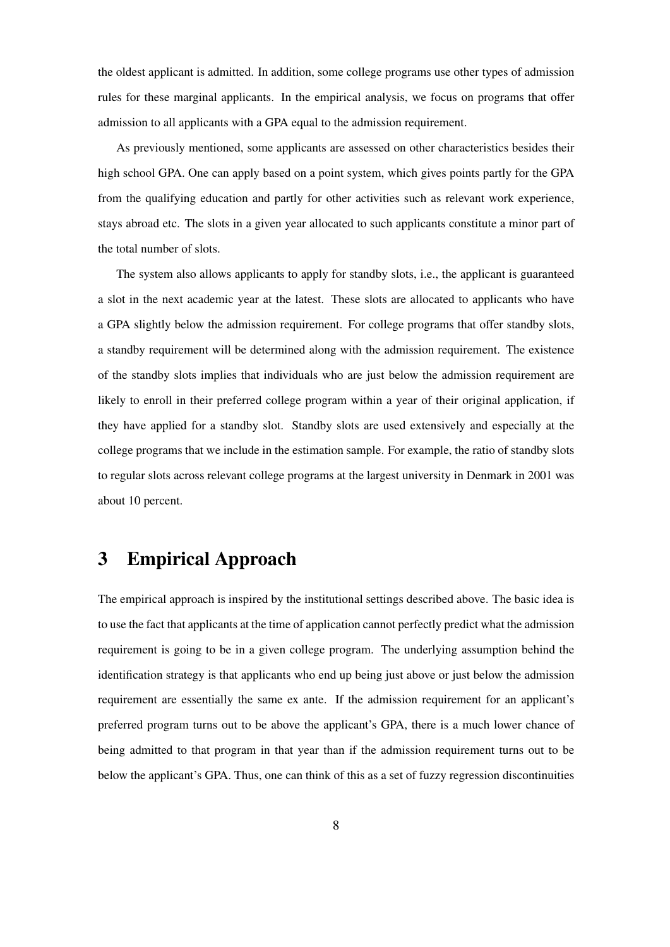the oldest applicant is admitted. In addition, some college programs use other types of admission rules for these marginal applicants. In the empirical analysis, we focus on programs that offer admission to all applicants with a GPA equal to the admission requirement.

As previously mentioned, some applicants are assessed on other characteristics besides their high school GPA. One can apply based on a point system, which gives points partly for the GPA from the qualifying education and partly for other activities such as relevant work experience, stays abroad etc. The slots in a given year allocated to such applicants constitute a minor part of the total number of slots.

The system also allows applicants to apply for standby slots, i.e., the applicant is guaranteed a slot in the next academic year at the latest. These slots are allocated to applicants who have a GPA slightly below the admission requirement. For college programs that offer standby slots, a standby requirement will be determined along with the admission requirement. The existence of the standby slots implies that individuals who are just below the admission requirement are likely to enroll in their preferred college program within a year of their original application, if they have applied for a standby slot. Standby slots are used extensively and especially at the college programs that we include in the estimation sample. For example, the ratio of standby slots to regular slots across relevant college programs at the largest university in Denmark in 2001 was about 10 percent.

## 3 Empirical Approach

The empirical approach is inspired by the institutional settings described above. The basic idea is to use the fact that applicants at the time of application cannot perfectly predict what the admission requirement is going to be in a given college program. The underlying assumption behind the identification strategy is that applicants who end up being just above or just below the admission requirement are essentially the same ex ante. If the admission requirement for an applicant's preferred program turns out to be above the applicant's GPA, there is a much lower chance of being admitted to that program in that year than if the admission requirement turns out to be below the applicant's GPA. Thus, one can think of this as a set of fuzzy regression discontinuities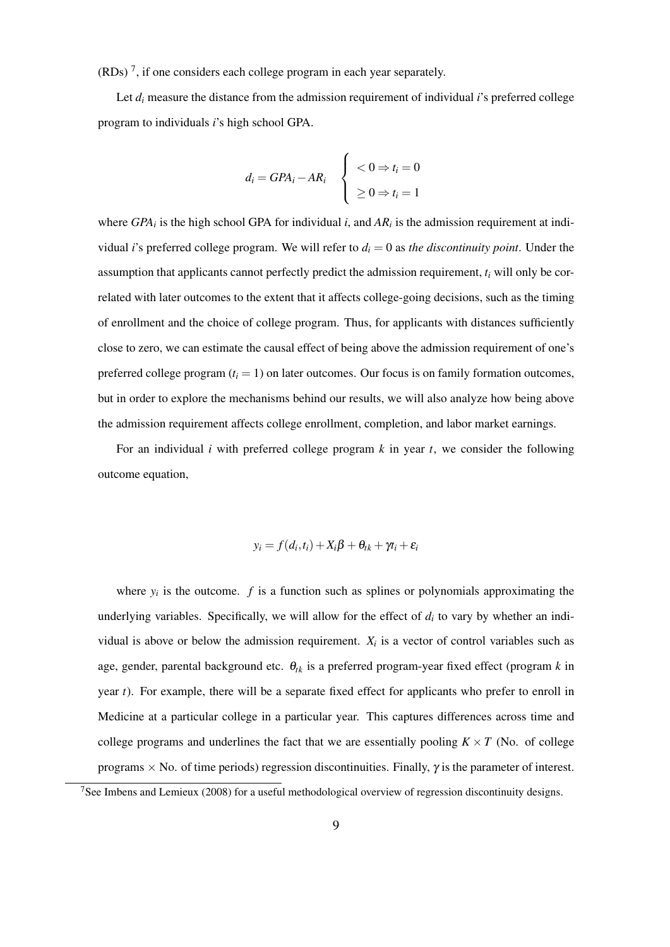$(RDs)^7$ , if one considers each college program in each year separately.

Let *d<sub>i</sub>* measure the distance from the admission requirement of individual *i*'s preferred college program to individuals *i*'s high school GPA.

$$
d_i = GPA_i - AR_i \quad \begin{cases} < 0 \Rightarrow t_i = 0 \\ > 0 \Rightarrow t_i = 1 \end{cases}
$$

where  $GPA_i$  is the high school GPA for individual *i*, and  $AR_i$  is the admission requirement at individual *i*'s preferred college program. We will refer to  $d_i = 0$  as *the discontinuity point*. Under the assumption that applicants cannot perfectly predict the admission requirement, *t<sup>i</sup>* will only be correlated with later outcomes to the extent that it affects college-going decisions, such as the timing of enrollment and the choice of college program. Thus, for applicants with distances sufficiently close to zero, we can estimate the causal effect of being above the admission requirement of one's preferred college program  $(t_i = 1)$  on later outcomes. Our focus is on family formation outcomes, but in order to explore the mechanisms behind our results, we will also analyze how being above the admission requirement affects college enrollment, completion, and labor market earnings.

For an individual *i* with preferred college program *k* in year *t*, we consider the following outcome equation,

$$
y_i = f(d_i, t_i) + X_i\beta + \theta_{tk} + \gamma t_i + \varepsilon_i
$$

where  $y_i$  is the outcome.  $f$  is a function such as splines or polynomials approximating the underlying variables. Specifically, we will allow for the effect of  $d_i$  to vary by whether an individual is above or below the admission requirement.  $X_i$  is a vector of control variables such as age, gender, parental background etc. θ*tk* is a preferred program-year fixed effect (program *k* in year *t*). For example, there will be a separate fixed effect for applicants who prefer to enroll in Medicine at a particular college in a particular year. This captures differences across time and college programs and underlines the fact that we are essentially pooling  $K \times T$  (No. of college programs  $\times$  No. of time periods) regression discontinuities. Finally,  $\gamma$  is the parameter of interest.

<sup>7</sup>See Imbens and Lemieux (2008) for a useful methodological overview of regression discontinuity designs.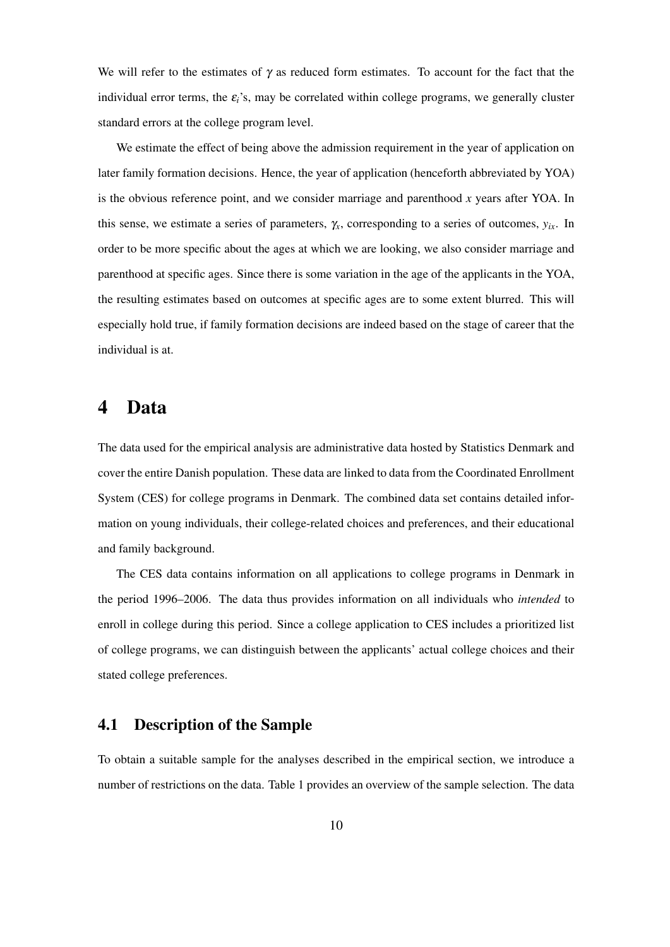We will refer to the estimates of  $\gamma$  as reduced form estimates. To account for the fact that the individual error terms, the  $\varepsilon_i$ 's, may be correlated within college programs, we generally cluster standard errors at the college program level.

We estimate the effect of being above the admission requirement in the year of application on later family formation decisions. Hence, the year of application (henceforth abbreviated by YOA) is the obvious reference point, and we consider marriage and parenthood *x* years after YOA. In this sense, we estimate a series of parameters,  $\gamma_x$ , corresponding to a series of outcomes,  $y_{ix}$ . In order to be more specific about the ages at which we are looking, we also consider marriage and parenthood at specific ages. Since there is some variation in the age of the applicants in the YOA, the resulting estimates based on outcomes at specific ages are to some extent blurred. This will especially hold true, if family formation decisions are indeed based on the stage of career that the individual is at.

## 4 Data

The data used for the empirical analysis are administrative data hosted by Statistics Denmark and cover the entire Danish population. These data are linked to data from the Coordinated Enrollment System (CES) for college programs in Denmark. The combined data set contains detailed information on young individuals, their college-related choices and preferences, and their educational and family background.

The CES data contains information on all applications to college programs in Denmark in the period 1996–2006. The data thus provides information on all individuals who *intended* to enroll in college during this period. Since a college application to CES includes a prioritized list of college programs, we can distinguish between the applicants' actual college choices and their stated college preferences.

## 4.1 Description of the Sample

To obtain a suitable sample for the analyses described in the empirical section, we introduce a number of restrictions on the data. Table 1 provides an overview of the sample selection. The data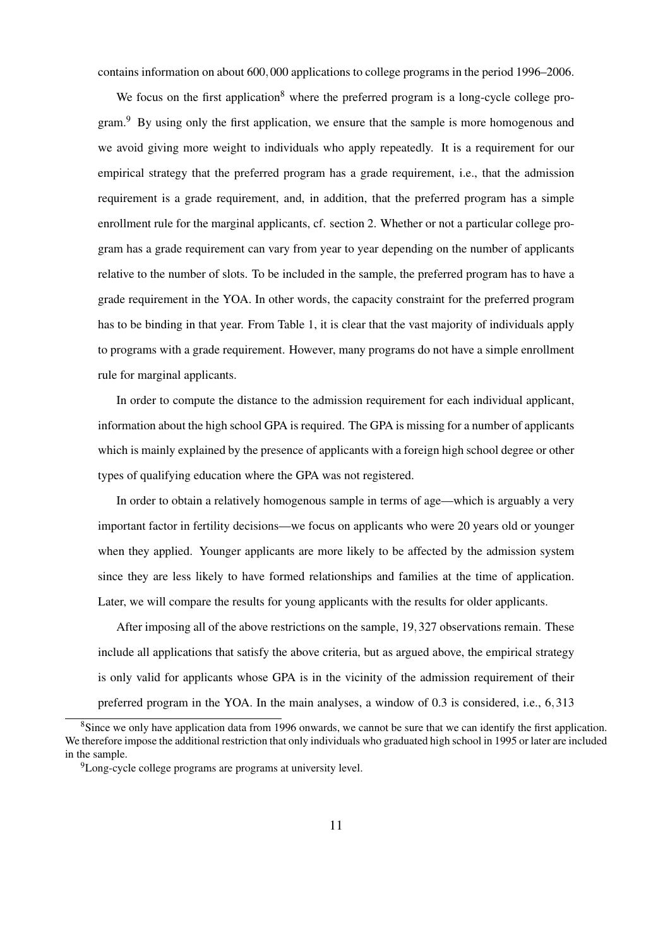contains information on about 600,000 applications to college programs in the period 1996–2006.

We focus on the first application<sup>8</sup> where the preferred program is a long-cycle college program.<sup>9</sup> By using only the first application, we ensure that the sample is more homogenous and we avoid giving more weight to individuals who apply repeatedly. It is a requirement for our empirical strategy that the preferred program has a grade requirement, i.e., that the admission requirement is a grade requirement, and, in addition, that the preferred program has a simple enrollment rule for the marginal applicants, cf. section 2. Whether or not a particular college program has a grade requirement can vary from year to year depending on the number of applicants relative to the number of slots. To be included in the sample, the preferred program has to have a grade requirement in the YOA. In other words, the capacity constraint for the preferred program has to be binding in that year. From Table 1, it is clear that the vast majority of individuals apply to programs with a grade requirement. However, many programs do not have a simple enrollment rule for marginal applicants.

In order to compute the distance to the admission requirement for each individual applicant, information about the high school GPA is required. The GPA is missing for a number of applicants which is mainly explained by the presence of applicants with a foreign high school degree or other types of qualifying education where the GPA was not registered.

In order to obtain a relatively homogenous sample in terms of age—which is arguably a very important factor in fertility decisions—we focus on applicants who were 20 years old or younger when they applied. Younger applicants are more likely to be affected by the admission system since they are less likely to have formed relationships and families at the time of application. Later, we will compare the results for young applicants with the results for older applicants.

After imposing all of the above restrictions on the sample, 19,327 observations remain. These include all applications that satisfy the above criteria, but as argued above, the empirical strategy is only valid for applicants whose GPA is in the vicinity of the admission requirement of their preferred program in the YOA. In the main analyses, a window of 0.3 is considered, i.e., 6,313

<sup>&</sup>lt;sup>8</sup>Since we only have application data from 1996 onwards, we cannot be sure that we can identify the first application. We therefore impose the additional restriction that only individuals who graduated high school in 1995 or later are included in the sample.

<sup>&</sup>lt;sup>9</sup>Long-cycle college programs are programs at university level.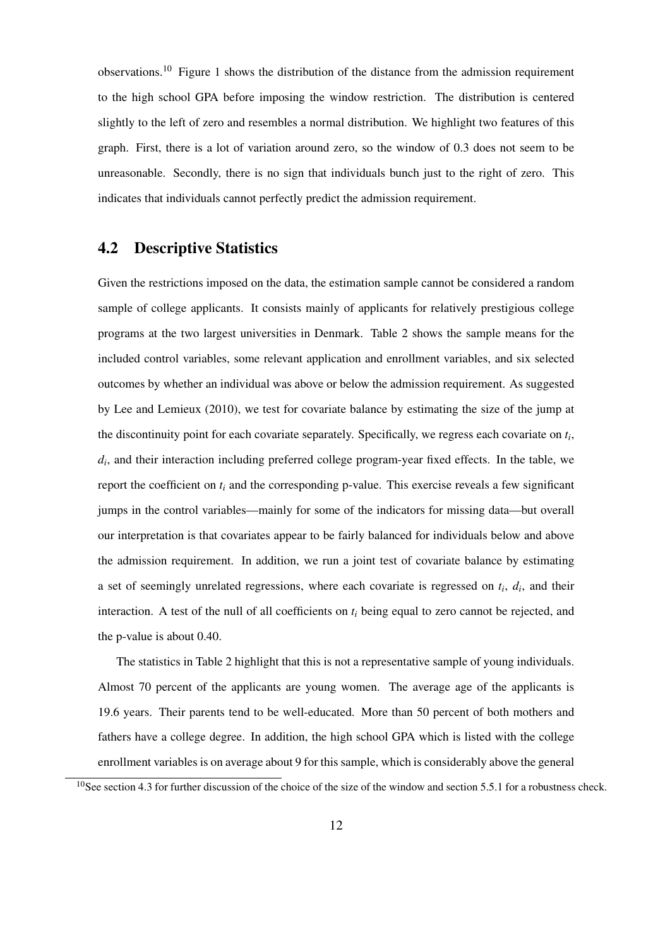observations.<sup>10</sup> Figure 1 shows the distribution of the distance from the admission requirement to the high school GPA before imposing the window restriction. The distribution is centered slightly to the left of zero and resembles a normal distribution. We highlight two features of this graph. First, there is a lot of variation around zero, so the window of 0.3 does not seem to be unreasonable. Secondly, there is no sign that individuals bunch just to the right of zero. This indicates that individuals cannot perfectly predict the admission requirement.

### 4.2 Descriptive Statistics

Given the restrictions imposed on the data, the estimation sample cannot be considered a random sample of college applicants. It consists mainly of applicants for relatively prestigious college programs at the two largest universities in Denmark. Table 2 shows the sample means for the included control variables, some relevant application and enrollment variables, and six selected outcomes by whether an individual was above or below the admission requirement. As suggested by Lee and Lemieux (2010), we test for covariate balance by estimating the size of the jump at the discontinuity point for each covariate separately. Specifically, we regress each covariate on *t<sup>i</sup>* , *di* , and their interaction including preferred college program-year fixed effects. In the table, we report the coefficient on  $t_i$  and the corresponding p-value. This exercise reveals a few significant jumps in the control variables—mainly for some of the indicators for missing data—but overall our interpretation is that covariates appear to be fairly balanced for individuals below and above the admission requirement. In addition, we run a joint test of covariate balance by estimating a set of seemingly unrelated regressions, where each covariate is regressed on *t<sup>i</sup>* , *d<sup>i</sup>* , and their interaction. A test of the null of all coefficients on *t<sup>i</sup>* being equal to zero cannot be rejected, and the p-value is about 0.40.

The statistics in Table 2 highlight that this is not a representative sample of young individuals. Almost 70 percent of the applicants are young women. The average age of the applicants is 19.6 years. Their parents tend to be well-educated. More than 50 percent of both mothers and fathers have a college degree. In addition, the high school GPA which is listed with the college enrollment variables is on average about 9 for this sample, which is considerably above the general

 $10$ See section 4.3 for further discussion of the choice of the size of the window and section 5.5.1 for a robustness check.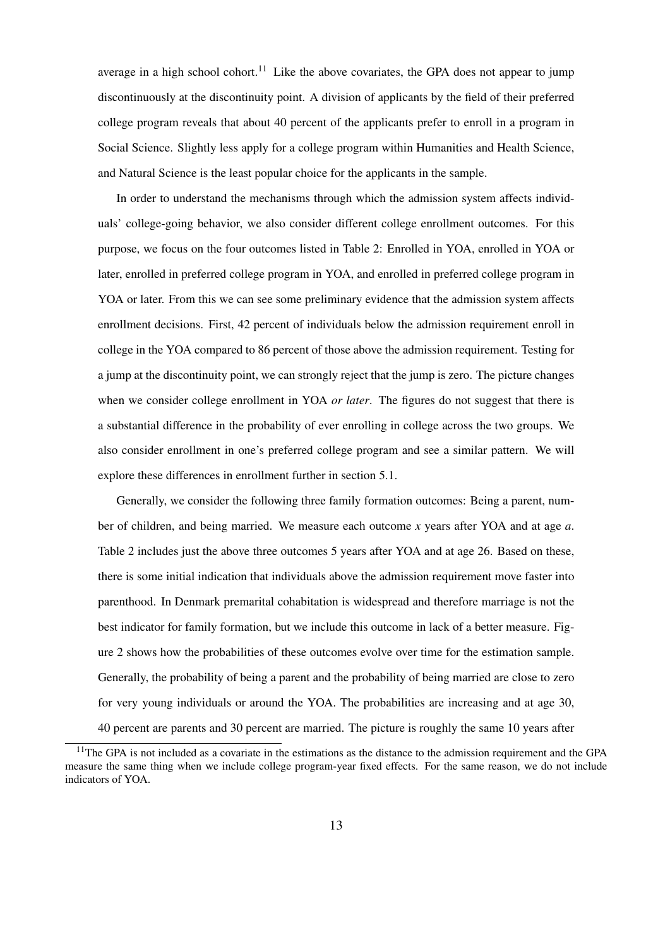average in a high school cohort.<sup>11</sup> Like the above covariates, the GPA does not appear to jump discontinuously at the discontinuity point. A division of applicants by the field of their preferred college program reveals that about 40 percent of the applicants prefer to enroll in a program in Social Science. Slightly less apply for a college program within Humanities and Health Science, and Natural Science is the least popular choice for the applicants in the sample.

In order to understand the mechanisms through which the admission system affects individuals' college-going behavior, we also consider different college enrollment outcomes. For this purpose, we focus on the four outcomes listed in Table 2: Enrolled in YOA, enrolled in YOA or later, enrolled in preferred college program in YOA, and enrolled in preferred college program in YOA or later. From this we can see some preliminary evidence that the admission system affects enrollment decisions. First, 42 percent of individuals below the admission requirement enroll in college in the YOA compared to 86 percent of those above the admission requirement. Testing for a jump at the discontinuity point, we can strongly reject that the jump is zero. The picture changes when we consider college enrollment in YOA *or later*. The figures do not suggest that there is a substantial difference in the probability of ever enrolling in college across the two groups. We also consider enrollment in one's preferred college program and see a similar pattern. We will explore these differences in enrollment further in section 5.1.

Generally, we consider the following three family formation outcomes: Being a parent, number of children, and being married. We measure each outcome *x* years after YOA and at age *a*. Table 2 includes just the above three outcomes 5 years after YOA and at age 26. Based on these, there is some initial indication that individuals above the admission requirement move faster into parenthood. In Denmark premarital cohabitation is widespread and therefore marriage is not the best indicator for family formation, but we include this outcome in lack of a better measure. Figure 2 shows how the probabilities of these outcomes evolve over time for the estimation sample. Generally, the probability of being a parent and the probability of being married are close to zero for very young individuals or around the YOA. The probabilities are increasing and at age 30, 40 percent are parents and 30 percent are married. The picture is roughly the same 10 years after

 $11$ The GPA is not included as a covariate in the estimations as the distance to the admission requirement and the GPA measure the same thing when we include college program-year fixed effects. For the same reason, we do not include indicators of YOA.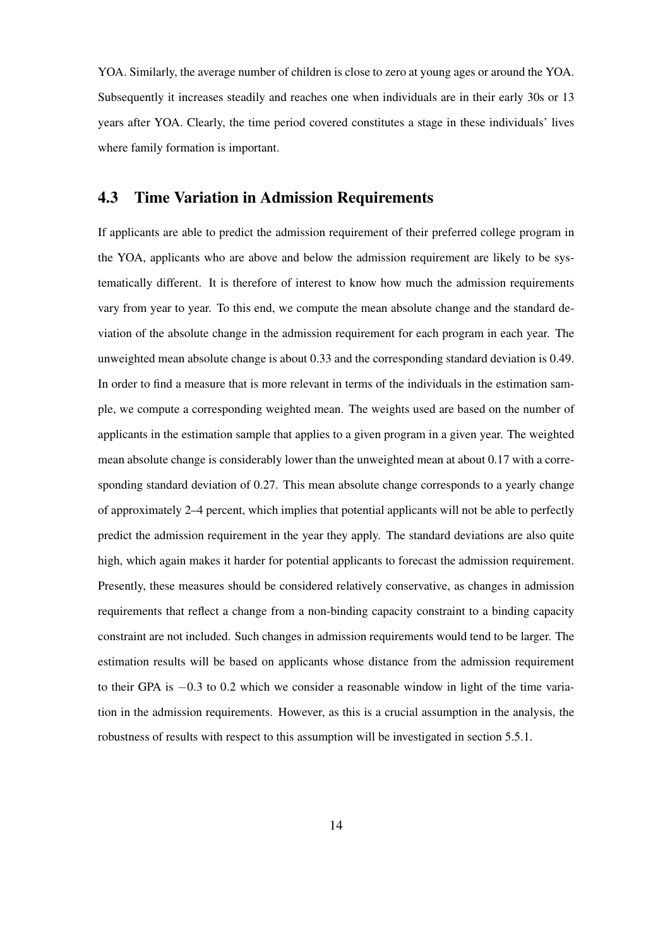YOA. Similarly, the average number of children is close to zero at young ages or around the YOA. Subsequently it increases steadily and reaches one when individuals are in their early 30s or 13 years after YOA. Clearly, the time period covered constitutes a stage in these individuals' lives where family formation is important.

### 4.3 Time Variation in Admission Requirements

If applicants are able to predict the admission requirement of their preferred college program in the YOA, applicants who are above and below the admission requirement are likely to be systematically different. It is therefore of interest to know how much the admission requirements vary from year to year. To this end, we compute the mean absolute change and the standard deviation of the absolute change in the admission requirement for each program in each year. The unweighted mean absolute change is about 0.33 and the corresponding standard deviation is 0.49. In order to find a measure that is more relevant in terms of the individuals in the estimation sample, we compute a corresponding weighted mean. The weights used are based on the number of applicants in the estimation sample that applies to a given program in a given year. The weighted mean absolute change is considerably lower than the unweighted mean at about 0.17 with a corresponding standard deviation of 0.27. This mean absolute change corresponds to a yearly change of approximately 2–4 percent, which implies that potential applicants will not be able to perfectly predict the admission requirement in the year they apply. The standard deviations are also quite high, which again makes it harder for potential applicants to forecast the admission requirement. Presently, these measures should be considered relatively conservative, as changes in admission requirements that reflect a change from a non-binding capacity constraint to a binding capacity constraint are not included. Such changes in admission requirements would tend to be larger. The estimation results will be based on applicants whose distance from the admission requirement to their GPA is −0.3 to 0.2 which we consider a reasonable window in light of the time variation in the admission requirements. However, as this is a crucial assumption in the analysis, the robustness of results with respect to this assumption will be investigated in section 5.5.1.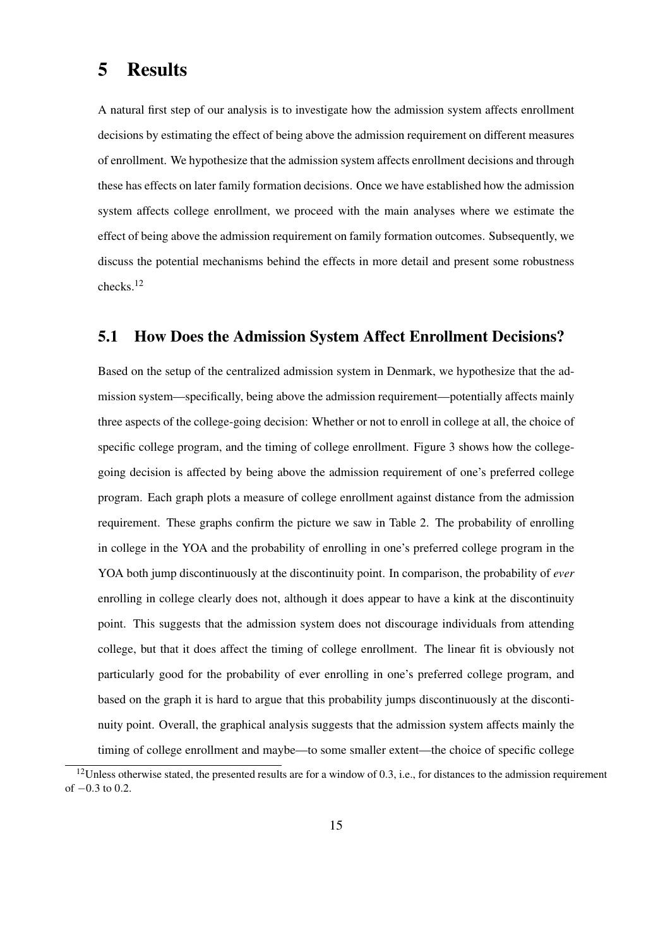## 5 Results

A natural first step of our analysis is to investigate how the admission system affects enrollment decisions by estimating the effect of being above the admission requirement on different measures of enrollment. We hypothesize that the admission system affects enrollment decisions and through these has effects on later family formation decisions. Once we have established how the admission system affects college enrollment, we proceed with the main analyses where we estimate the effect of being above the admission requirement on family formation outcomes. Subsequently, we discuss the potential mechanisms behind the effects in more detail and present some robustness checks.<sup>12</sup>

## 5.1 How Does the Admission System Affect Enrollment Decisions?

Based on the setup of the centralized admission system in Denmark, we hypothesize that the admission system—specifically, being above the admission requirement—potentially affects mainly three aspects of the college-going decision: Whether or not to enroll in college at all, the choice of specific college program, and the timing of college enrollment. Figure 3 shows how the collegegoing decision is affected by being above the admission requirement of one's preferred college program. Each graph plots a measure of college enrollment against distance from the admission requirement. These graphs confirm the picture we saw in Table 2. The probability of enrolling in college in the YOA and the probability of enrolling in one's preferred college program in the YOA both jump discontinuously at the discontinuity point. In comparison, the probability of *ever* enrolling in college clearly does not, although it does appear to have a kink at the discontinuity point. This suggests that the admission system does not discourage individuals from attending college, but that it does affect the timing of college enrollment. The linear fit is obviously not particularly good for the probability of ever enrolling in one's preferred college program, and based on the graph it is hard to argue that this probability jumps discontinuously at the discontinuity point. Overall, the graphical analysis suggests that the admission system affects mainly the timing of college enrollment and maybe—to some smaller extent—the choice of specific college

 $12$ Unless otherwise stated, the presented results are for a window of 0.3, i.e., for distances to the admission requirement of −0.3 to 0.2.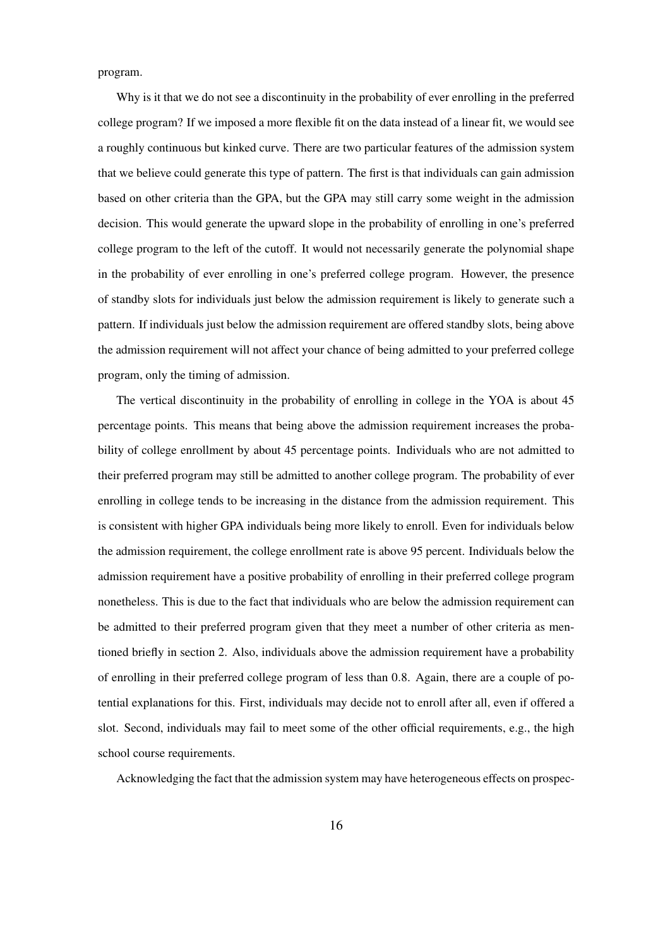program.

Why is it that we do not see a discontinuity in the probability of ever enrolling in the preferred college program? If we imposed a more flexible fit on the data instead of a linear fit, we would see a roughly continuous but kinked curve. There are two particular features of the admission system that we believe could generate this type of pattern. The first is that individuals can gain admission based on other criteria than the GPA, but the GPA may still carry some weight in the admission decision. This would generate the upward slope in the probability of enrolling in one's preferred college program to the left of the cutoff. It would not necessarily generate the polynomial shape in the probability of ever enrolling in one's preferred college program. However, the presence of standby slots for individuals just below the admission requirement is likely to generate such a pattern. If individuals just below the admission requirement are offered standby slots, being above the admission requirement will not affect your chance of being admitted to your preferred college program, only the timing of admission.

The vertical discontinuity in the probability of enrolling in college in the YOA is about 45 percentage points. This means that being above the admission requirement increases the probability of college enrollment by about 45 percentage points. Individuals who are not admitted to their preferred program may still be admitted to another college program. The probability of ever enrolling in college tends to be increasing in the distance from the admission requirement. This is consistent with higher GPA individuals being more likely to enroll. Even for individuals below the admission requirement, the college enrollment rate is above 95 percent. Individuals below the admission requirement have a positive probability of enrolling in their preferred college program nonetheless. This is due to the fact that individuals who are below the admission requirement can be admitted to their preferred program given that they meet a number of other criteria as mentioned briefly in section 2. Also, individuals above the admission requirement have a probability of enrolling in their preferred college program of less than 0.8. Again, there are a couple of potential explanations for this. First, individuals may decide not to enroll after all, even if offered a slot. Second, individuals may fail to meet some of the other official requirements, e.g., the high school course requirements.

Acknowledging the fact that the admission system may have heterogeneous effects on prospec-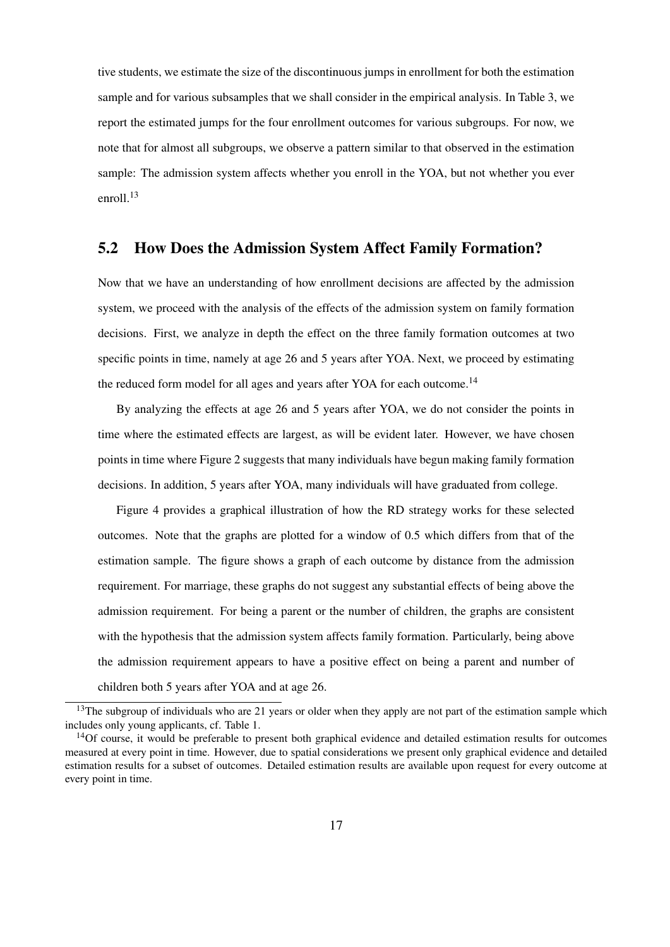tive students, we estimate the size of the discontinuous jumps in enrollment for both the estimation sample and for various subsamples that we shall consider in the empirical analysis. In Table 3, we report the estimated jumps for the four enrollment outcomes for various subgroups. For now, we note that for almost all subgroups, we observe a pattern similar to that observed in the estimation sample: The admission system affects whether you enroll in the YOA, but not whether you ever enroll.<sup>13</sup>

### 5.2 How Does the Admission System Affect Family Formation?

Now that we have an understanding of how enrollment decisions are affected by the admission system, we proceed with the analysis of the effects of the admission system on family formation decisions. First, we analyze in depth the effect on the three family formation outcomes at two specific points in time, namely at age 26 and 5 years after YOA. Next, we proceed by estimating the reduced form model for all ages and years after YOA for each outcome.<sup>14</sup>

By analyzing the effects at age 26 and 5 years after YOA, we do not consider the points in time where the estimated effects are largest, as will be evident later. However, we have chosen points in time where Figure 2 suggests that many individuals have begun making family formation decisions. In addition, 5 years after YOA, many individuals will have graduated from college.

Figure 4 provides a graphical illustration of how the RD strategy works for these selected outcomes. Note that the graphs are plotted for a window of 0.5 which differs from that of the estimation sample. The figure shows a graph of each outcome by distance from the admission requirement. For marriage, these graphs do not suggest any substantial effects of being above the admission requirement. For being a parent or the number of children, the graphs are consistent with the hypothesis that the admission system affects family formation. Particularly, being above the admission requirement appears to have a positive effect on being a parent and number of children both 5 years after YOA and at age 26.

<sup>&</sup>lt;sup>13</sup>The subgroup of individuals who are 21 years or older when they apply are not part of the estimation sample which includes only young applicants, cf. Table 1.

 $14$ Of course, it would be preferable to present both graphical evidence and detailed estimation results for outcomes measured at every point in time. However, due to spatial considerations we present only graphical evidence and detailed estimation results for a subset of outcomes. Detailed estimation results are available upon request for every outcome at every point in time.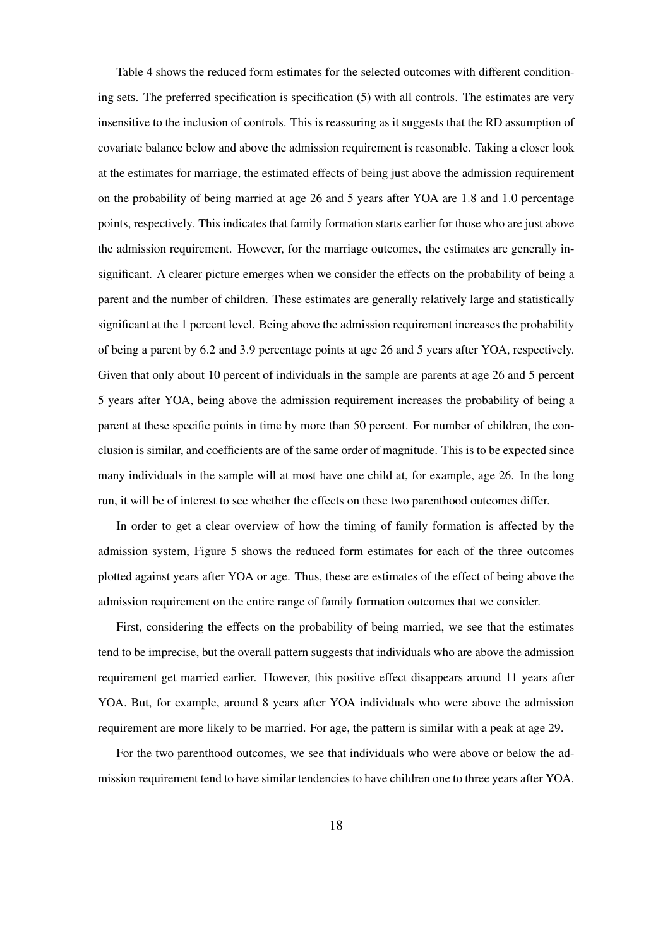Table 4 shows the reduced form estimates for the selected outcomes with different conditioning sets. The preferred specification is specification (5) with all controls. The estimates are very insensitive to the inclusion of controls. This is reassuring as it suggests that the RD assumption of covariate balance below and above the admission requirement is reasonable. Taking a closer look at the estimates for marriage, the estimated effects of being just above the admission requirement on the probability of being married at age 26 and 5 years after YOA are 1.8 and 1.0 percentage points, respectively. This indicates that family formation starts earlier for those who are just above the admission requirement. However, for the marriage outcomes, the estimates are generally insignificant. A clearer picture emerges when we consider the effects on the probability of being a parent and the number of children. These estimates are generally relatively large and statistically significant at the 1 percent level. Being above the admission requirement increases the probability of being a parent by 6.2 and 3.9 percentage points at age 26 and 5 years after YOA, respectively. Given that only about 10 percent of individuals in the sample are parents at age 26 and 5 percent 5 years after YOA, being above the admission requirement increases the probability of being a parent at these specific points in time by more than 50 percent. For number of children, the conclusion is similar, and coefficients are of the same order of magnitude. This is to be expected since many individuals in the sample will at most have one child at, for example, age 26. In the long run, it will be of interest to see whether the effects on these two parenthood outcomes differ.

In order to get a clear overview of how the timing of family formation is affected by the admission system, Figure 5 shows the reduced form estimates for each of the three outcomes plotted against years after YOA or age. Thus, these are estimates of the effect of being above the admission requirement on the entire range of family formation outcomes that we consider.

First, considering the effects on the probability of being married, we see that the estimates tend to be imprecise, but the overall pattern suggests that individuals who are above the admission requirement get married earlier. However, this positive effect disappears around 11 years after YOA. But, for example, around 8 years after YOA individuals who were above the admission requirement are more likely to be married. For age, the pattern is similar with a peak at age 29.

For the two parenthood outcomes, we see that individuals who were above or below the admission requirement tend to have similar tendencies to have children one to three years after YOA.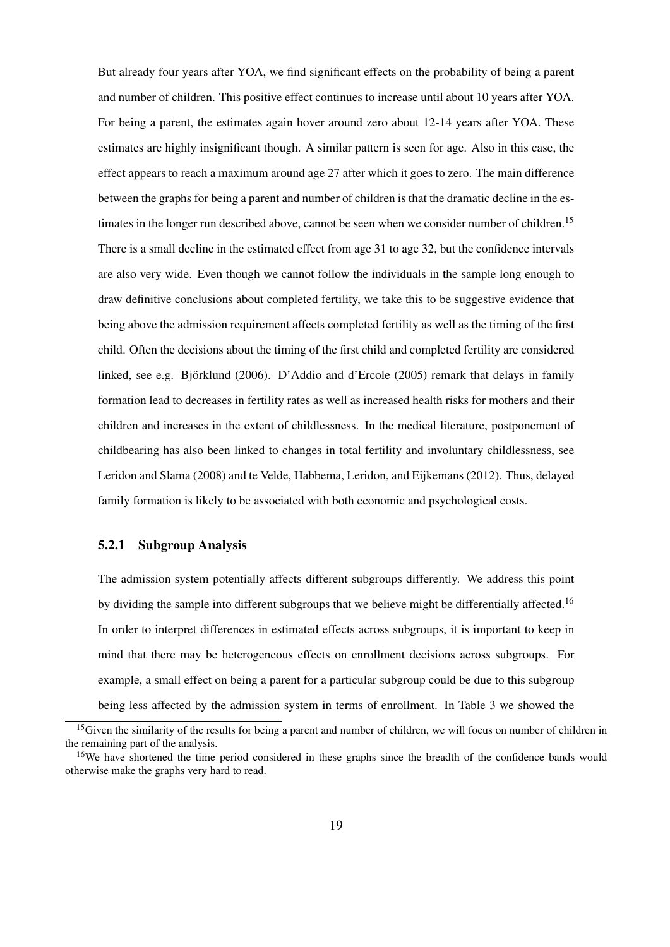But already four years after YOA, we find significant effects on the probability of being a parent and number of children. This positive effect continues to increase until about 10 years after YOA. For being a parent, the estimates again hover around zero about 12-14 years after YOA. These estimates are highly insignificant though. A similar pattern is seen for age. Also in this case, the effect appears to reach a maximum around age 27 after which it goes to zero. The main difference between the graphs for being a parent and number of children is that the dramatic decline in the estimates in the longer run described above, cannot be seen when we consider number of children.<sup>15</sup> There is a small decline in the estimated effect from age 31 to age 32, but the confidence intervals are also very wide. Even though we cannot follow the individuals in the sample long enough to draw definitive conclusions about completed fertility, we take this to be suggestive evidence that being above the admission requirement affects completed fertility as well as the timing of the first child. Often the decisions about the timing of the first child and completed fertility are considered linked, see e.g. Björklund (2006). D'Addio and d'Ercole (2005) remark that delays in family formation lead to decreases in fertility rates as well as increased health risks for mothers and their children and increases in the extent of childlessness. In the medical literature, postponement of childbearing has also been linked to changes in total fertility and involuntary childlessness, see Leridon and Slama (2008) and te Velde, Habbema, Leridon, and Eijkemans (2012). Thus, delayed family formation is likely to be associated with both economic and psychological costs.

#### 5.2.1 Subgroup Analysis

The admission system potentially affects different subgroups differently. We address this point by dividing the sample into different subgroups that we believe might be differentially affected.<sup>16</sup> In order to interpret differences in estimated effects across subgroups, it is important to keep in mind that there may be heterogeneous effects on enrollment decisions across subgroups. For example, a small effect on being a parent for a particular subgroup could be due to this subgroup being less affected by the admission system in terms of enrollment. In Table 3 we showed the

<sup>&</sup>lt;sup>15</sup>Given the similarity of the results for being a parent and number of children, we will focus on number of children in the remaining part of the analysis.

<sup>&</sup>lt;sup>16</sup>We have shortened the time period considered in these graphs since the breadth of the confidence bands would otherwise make the graphs very hard to read.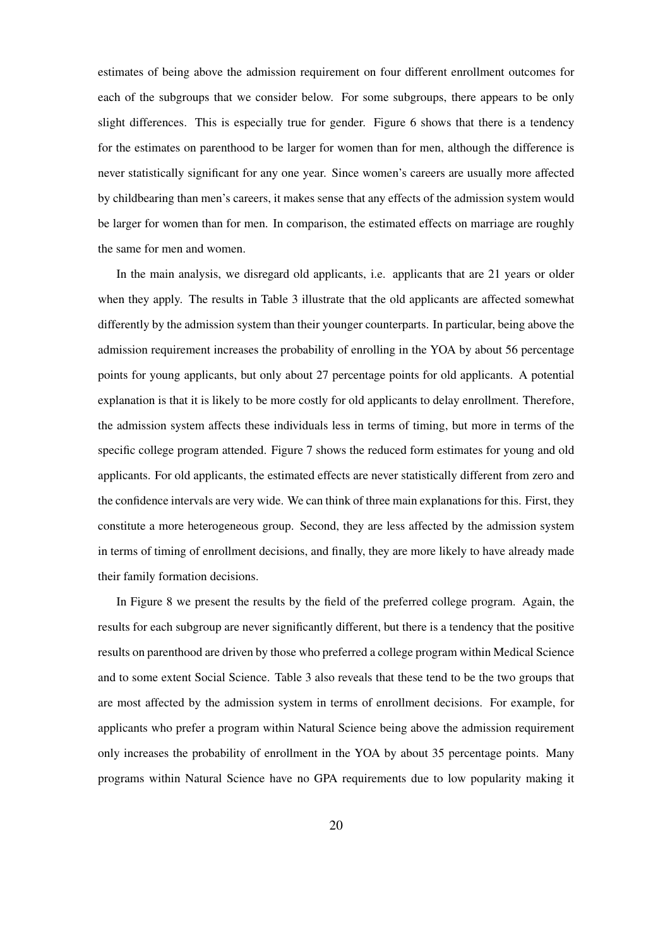estimates of being above the admission requirement on four different enrollment outcomes for each of the subgroups that we consider below. For some subgroups, there appears to be only slight differences. This is especially true for gender. Figure 6 shows that there is a tendency for the estimates on parenthood to be larger for women than for men, although the difference is never statistically significant for any one year. Since women's careers are usually more affected by childbearing than men's careers, it makes sense that any effects of the admission system would be larger for women than for men. In comparison, the estimated effects on marriage are roughly the same for men and women.

In the main analysis, we disregard old applicants, i.e. applicants that are 21 years or older when they apply. The results in Table 3 illustrate that the old applicants are affected somewhat differently by the admission system than their younger counterparts. In particular, being above the admission requirement increases the probability of enrolling in the YOA by about 56 percentage points for young applicants, but only about 27 percentage points for old applicants. A potential explanation is that it is likely to be more costly for old applicants to delay enrollment. Therefore, the admission system affects these individuals less in terms of timing, but more in terms of the specific college program attended. Figure 7 shows the reduced form estimates for young and old applicants. For old applicants, the estimated effects are never statistically different from zero and the confidence intervals are very wide. We can think of three main explanations for this. First, they constitute a more heterogeneous group. Second, they are less affected by the admission system in terms of timing of enrollment decisions, and finally, they are more likely to have already made their family formation decisions.

In Figure 8 we present the results by the field of the preferred college program. Again, the results for each subgroup are never significantly different, but there is a tendency that the positive results on parenthood are driven by those who preferred a college program within Medical Science and to some extent Social Science. Table 3 also reveals that these tend to be the two groups that are most affected by the admission system in terms of enrollment decisions. For example, for applicants who prefer a program within Natural Science being above the admission requirement only increases the probability of enrollment in the YOA by about 35 percentage points. Many programs within Natural Science have no GPA requirements due to low popularity making it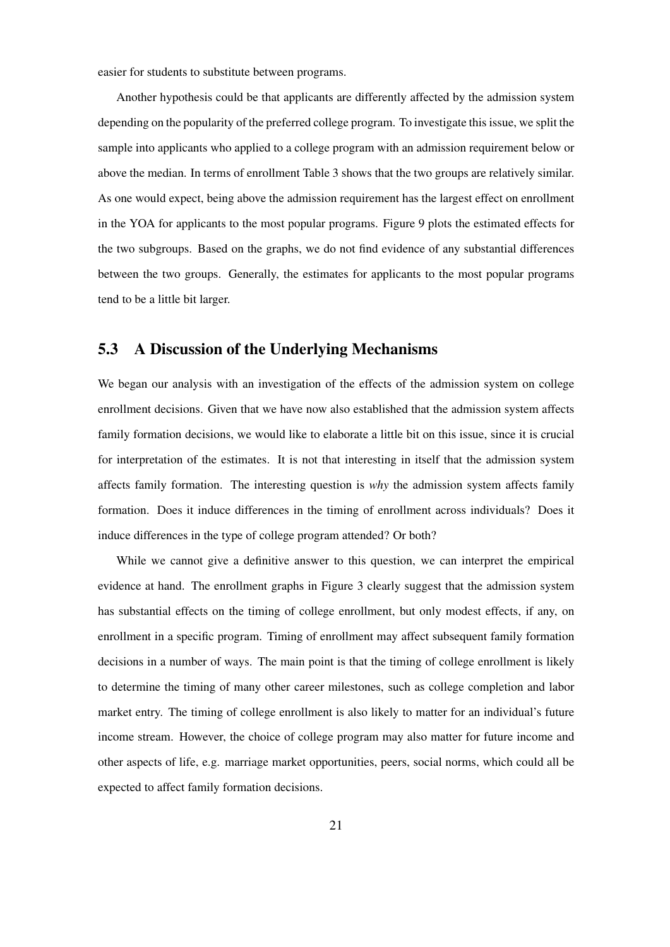easier for students to substitute between programs.

Another hypothesis could be that applicants are differently affected by the admission system depending on the popularity of the preferred college program. To investigate this issue, we split the sample into applicants who applied to a college program with an admission requirement below or above the median. In terms of enrollment Table 3 shows that the two groups are relatively similar. As one would expect, being above the admission requirement has the largest effect on enrollment in the YOA for applicants to the most popular programs. Figure 9 plots the estimated effects for the two subgroups. Based on the graphs, we do not find evidence of any substantial differences between the two groups. Generally, the estimates for applicants to the most popular programs tend to be a little bit larger.

### 5.3 A Discussion of the Underlying Mechanisms

We began our analysis with an investigation of the effects of the admission system on college enrollment decisions. Given that we have now also established that the admission system affects family formation decisions, we would like to elaborate a little bit on this issue, since it is crucial for interpretation of the estimates. It is not that interesting in itself that the admission system affects family formation. The interesting question is *why* the admission system affects family formation. Does it induce differences in the timing of enrollment across individuals? Does it induce differences in the type of college program attended? Or both?

While we cannot give a definitive answer to this question, we can interpret the empirical evidence at hand. The enrollment graphs in Figure 3 clearly suggest that the admission system has substantial effects on the timing of college enrollment, but only modest effects, if any, on enrollment in a specific program. Timing of enrollment may affect subsequent family formation decisions in a number of ways. The main point is that the timing of college enrollment is likely to determine the timing of many other career milestones, such as college completion and labor market entry. The timing of college enrollment is also likely to matter for an individual's future income stream. However, the choice of college program may also matter for future income and other aspects of life, e.g. marriage market opportunities, peers, social norms, which could all be expected to affect family formation decisions.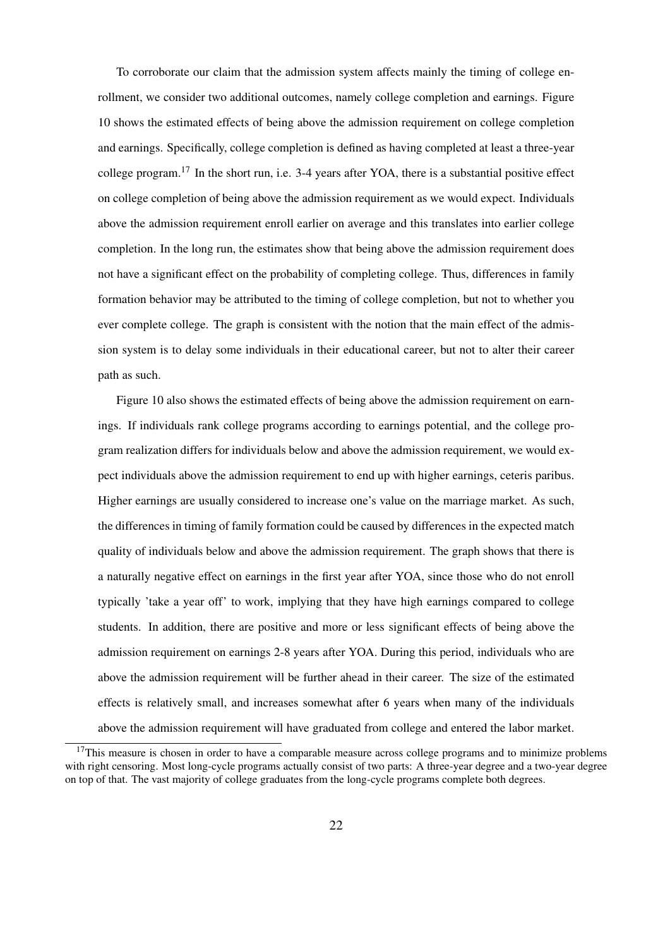To corroborate our claim that the admission system affects mainly the timing of college enrollment, we consider two additional outcomes, namely college completion and earnings. Figure 10 shows the estimated effects of being above the admission requirement on college completion and earnings. Specifically, college completion is defined as having completed at least a three-year college program.<sup>17</sup> In the short run, i.e. 3-4 years after YOA, there is a substantial positive effect on college completion of being above the admission requirement as we would expect. Individuals above the admission requirement enroll earlier on average and this translates into earlier college completion. In the long run, the estimates show that being above the admission requirement does not have a significant effect on the probability of completing college. Thus, differences in family formation behavior may be attributed to the timing of college completion, but not to whether you ever complete college. The graph is consistent with the notion that the main effect of the admission system is to delay some individuals in their educational career, but not to alter their career path as such.

Figure 10 also shows the estimated effects of being above the admission requirement on earnings. If individuals rank college programs according to earnings potential, and the college program realization differs for individuals below and above the admission requirement, we would expect individuals above the admission requirement to end up with higher earnings, ceteris paribus. Higher earnings are usually considered to increase one's value on the marriage market. As such, the differences in timing of family formation could be caused by differences in the expected match quality of individuals below and above the admission requirement. The graph shows that there is a naturally negative effect on earnings in the first year after YOA, since those who do not enroll typically 'take a year off' to work, implying that they have high earnings compared to college students. In addition, there are positive and more or less significant effects of being above the admission requirement on earnings 2-8 years after YOA. During this period, individuals who are above the admission requirement will be further ahead in their career. The size of the estimated effects is relatively small, and increases somewhat after 6 years when many of the individuals above the admission requirement will have graduated from college and entered the labor market.

<sup>&</sup>lt;sup>17</sup>This measure is chosen in order to have a comparable measure across college programs and to minimize problems with right censoring. Most long-cycle programs actually consist of two parts: A three-year degree and a two-year degree on top of that. The vast majority of college graduates from the long-cycle programs complete both degrees.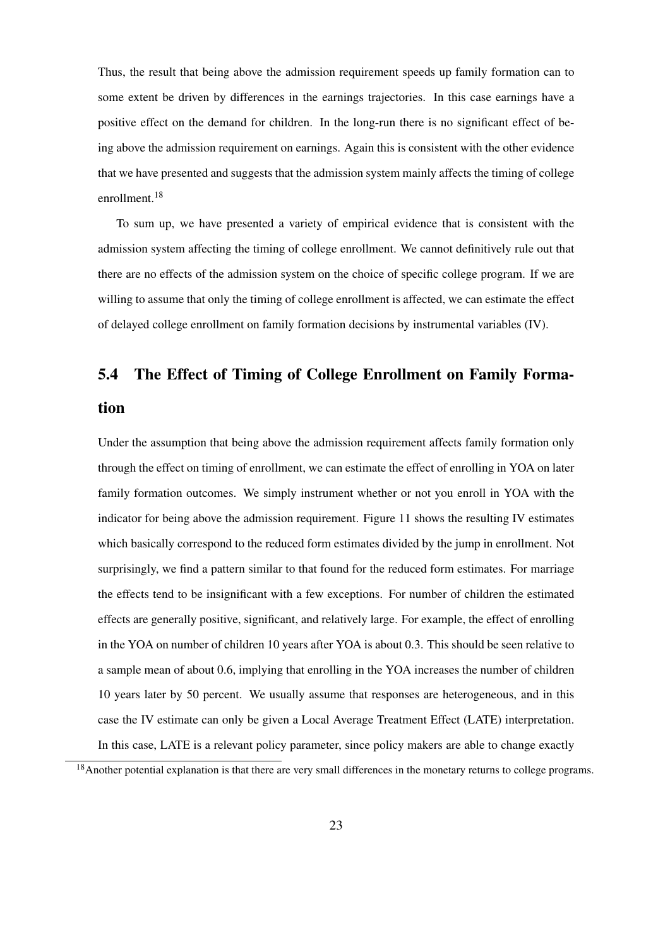Thus, the result that being above the admission requirement speeds up family formation can to some extent be driven by differences in the earnings trajectories. In this case earnings have a positive effect on the demand for children. In the long-run there is no significant effect of being above the admission requirement on earnings. Again this is consistent with the other evidence that we have presented and suggests that the admission system mainly affects the timing of college enrollment.<sup>18</sup>

To sum up, we have presented a variety of empirical evidence that is consistent with the admission system affecting the timing of college enrollment. We cannot definitively rule out that there are no effects of the admission system on the choice of specific college program. If we are willing to assume that only the timing of college enrollment is affected, we can estimate the effect of delayed college enrollment on family formation decisions by instrumental variables (IV).

# 5.4 The Effect of Timing of College Enrollment on Family Formation

Under the assumption that being above the admission requirement affects family formation only through the effect on timing of enrollment, we can estimate the effect of enrolling in YOA on later family formation outcomes. We simply instrument whether or not you enroll in YOA with the indicator for being above the admission requirement. Figure 11 shows the resulting IV estimates which basically correspond to the reduced form estimates divided by the jump in enrollment. Not surprisingly, we find a pattern similar to that found for the reduced form estimates. For marriage the effects tend to be insignificant with a few exceptions. For number of children the estimated effects are generally positive, significant, and relatively large. For example, the effect of enrolling in the YOA on number of children 10 years after YOA is about 0.3. This should be seen relative to a sample mean of about 0.6, implying that enrolling in the YOA increases the number of children 10 years later by 50 percent. We usually assume that responses are heterogeneous, and in this case the IV estimate can only be given a Local Average Treatment Effect (LATE) interpretation. In this case, LATE is a relevant policy parameter, since policy makers are able to change exactly

<sup>&</sup>lt;sup>18</sup>Another potential explanation is that there are very small differences in the monetary returns to college programs.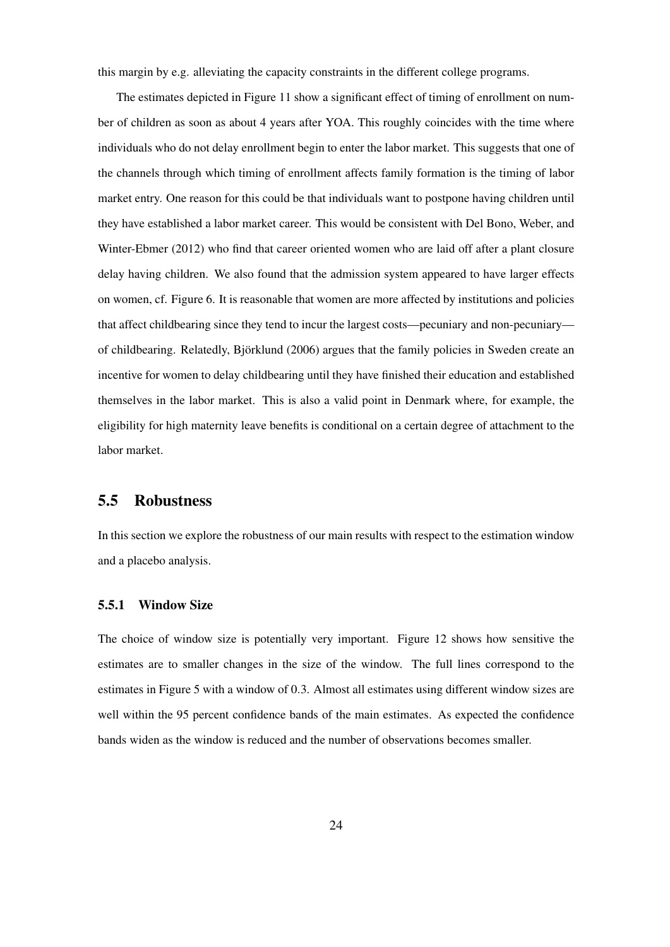this margin by e.g. alleviating the capacity constraints in the different college programs.

The estimates depicted in Figure 11 show a significant effect of timing of enrollment on number of children as soon as about 4 years after YOA. This roughly coincides with the time where individuals who do not delay enrollment begin to enter the labor market. This suggests that one of the channels through which timing of enrollment affects family formation is the timing of labor market entry. One reason for this could be that individuals want to postpone having children until they have established a labor market career. This would be consistent with Del Bono, Weber, and Winter-Ebmer (2012) who find that career oriented women who are laid off after a plant closure delay having children. We also found that the admission system appeared to have larger effects on women, cf. Figure 6. It is reasonable that women are more affected by institutions and policies that affect childbearing since they tend to incur the largest costs—pecuniary and non-pecuniary of childbearing. Relatedly, Bjorklund (2006) argues that the family policies in Sweden create an ¨ incentive for women to delay childbearing until they have finished their education and established themselves in the labor market. This is also a valid point in Denmark where, for example, the eligibility for high maternity leave benefits is conditional on a certain degree of attachment to the labor market.

### 5.5 Robustness

In this section we explore the robustness of our main results with respect to the estimation window and a placebo analysis.

#### 5.5.1 Window Size

The choice of window size is potentially very important. Figure 12 shows how sensitive the estimates are to smaller changes in the size of the window. The full lines correspond to the estimates in Figure 5 with a window of 0.3. Almost all estimates using different window sizes are well within the 95 percent confidence bands of the main estimates. As expected the confidence bands widen as the window is reduced and the number of observations becomes smaller.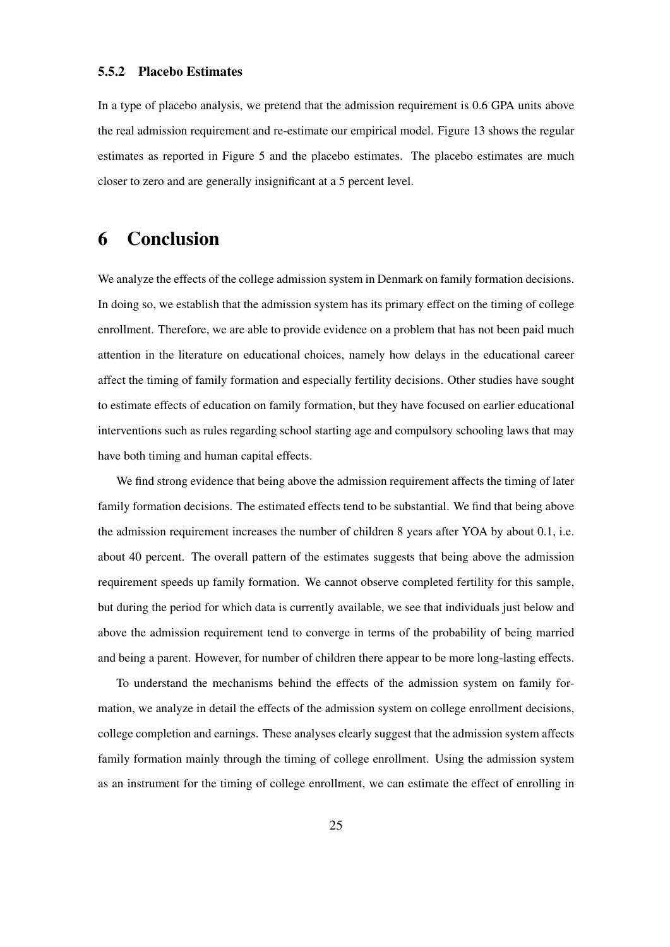In a type of placebo analysis, we pretend that the admission requirement is 0.6 GPA units above the real admission requirement and re-estimate our empirical model. Figure 13 shows the regular estimates as reported in Figure 5 and the placebo estimates. The placebo estimates are much closer to zero and are generally insignificant at a 5 percent level.

## 6 Conclusion

We analyze the effects of the college admission system in Denmark on family formation decisions. In doing so, we establish that the admission system has its primary effect on the timing of college enrollment. Therefore, we are able to provide evidence on a problem that has not been paid much attention in the literature on educational choices, namely how delays in the educational career affect the timing of family formation and especially fertility decisions. Other studies have sought to estimate effects of education on family formation, but they have focused on earlier educational interventions such as rules regarding school starting age and compulsory schooling laws that may have both timing and human capital effects.

We find strong evidence that being above the admission requirement affects the timing of later family formation decisions. The estimated effects tend to be substantial. We find that being above the admission requirement increases the number of children 8 years after YOA by about 0.1, i.e. about 40 percent. The overall pattern of the estimates suggests that being above the admission requirement speeds up family formation. We cannot observe completed fertility for this sample, but during the period for which data is currently available, we see that individuals just below and above the admission requirement tend to converge in terms of the probability of being married and being a parent. However, for number of children there appear to be more long-lasting effects.

To understand the mechanisms behind the effects of the admission system on family formation, we analyze in detail the effects of the admission system on college enrollment decisions, college completion and earnings. These analyses clearly suggest that the admission system affects family formation mainly through the timing of college enrollment. Using the admission system as an instrument for the timing of college enrollment, we can estimate the effect of enrolling in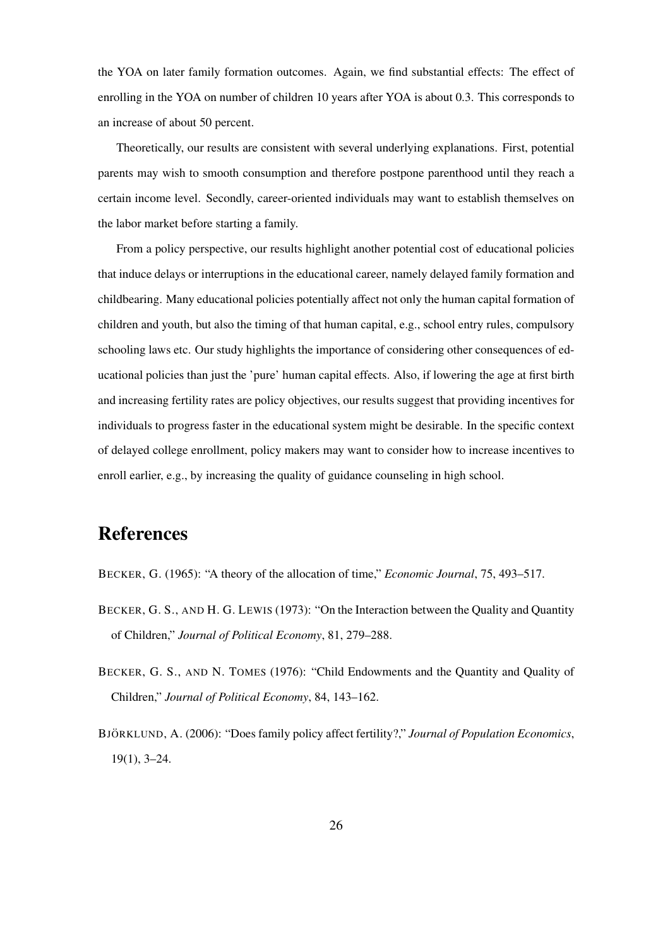the YOA on later family formation outcomes. Again, we find substantial effects: The effect of enrolling in the YOA on number of children 10 years after YOA is about 0.3. This corresponds to an increase of about 50 percent.

Theoretically, our results are consistent with several underlying explanations. First, potential parents may wish to smooth consumption and therefore postpone parenthood until they reach a certain income level. Secondly, career-oriented individuals may want to establish themselves on the labor market before starting a family.

From a policy perspective, our results highlight another potential cost of educational policies that induce delays or interruptions in the educational career, namely delayed family formation and childbearing. Many educational policies potentially affect not only the human capital formation of children and youth, but also the timing of that human capital, e.g., school entry rules, compulsory schooling laws etc. Our study highlights the importance of considering other consequences of educational policies than just the 'pure' human capital effects. Also, if lowering the age at first birth and increasing fertility rates are policy objectives, our results suggest that providing incentives for individuals to progress faster in the educational system might be desirable. In the specific context of delayed college enrollment, policy makers may want to consider how to increase incentives to enroll earlier, e.g., by increasing the quality of guidance counseling in high school.

# References

BECKER, G. (1965): "A theory of the allocation of time," *Economic Journal*, 75, 493–517.

- BECKER, G. S., AND H. G. LEWIS (1973): "On the Interaction between the Quality and Quantity of Children," *Journal of Political Economy*, 81, 279–288.
- BECKER, G. S., AND N. TOMES (1976): "Child Endowments and the Quantity and Quality of Children," *Journal of Political Economy*, 84, 143–162.
- BJÖRKLUND, A. (2006): "Does family policy affect fertility?," *Journal of Population Economics*, 19(1), 3–24.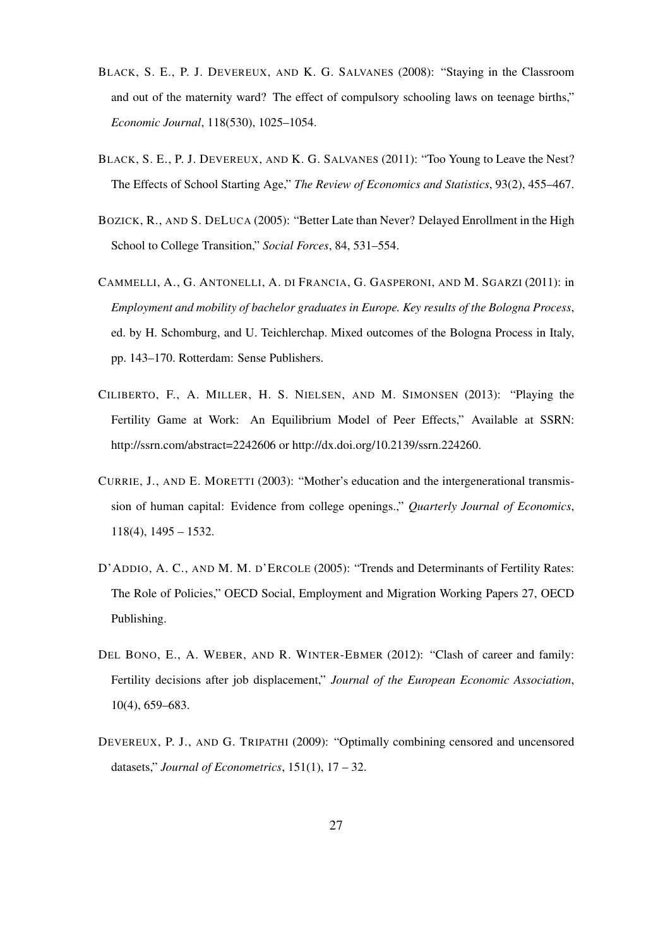- BLACK, S. E., P. J. DEVEREUX, AND K. G. SALVANES (2008): "Staying in the Classroom and out of the maternity ward? The effect of compulsory schooling laws on teenage births," *Economic Journal*, 118(530), 1025–1054.
- BLACK, S. E., P. J. DEVEREUX, AND K. G. SALVANES (2011): "Too Young to Leave the Nest? The Effects of School Starting Age," *The Review of Economics and Statistics*, 93(2), 455–467.
- BOZICK, R., AND S. DELUCA (2005): "Better Late than Never? Delayed Enrollment in the High School to College Transition," *Social Forces*, 84, 531–554.
- CAMMELLI, A., G. ANTONELLI, A. DI FRANCIA, G. GASPERONI, AND M. SGARZI (2011): in *Employment and mobility of bachelor graduates in Europe. Key results of the Bologna Process*, ed. by H. Schomburg, and U. Teichlerchap. Mixed outcomes of the Bologna Process in Italy, pp. 143–170. Rotterdam: Sense Publishers.
- CILIBERTO, F., A. MILLER, H. S. NIELSEN, AND M. SIMONSEN (2013): "Playing the Fertility Game at Work: An Equilibrium Model of Peer Effects," Available at SSRN: http://ssrn.com/abstract=2242606 or http://dx.doi.org/10.2139/ssrn.224260.
- CURRIE, J., AND E. MORETTI (2003): "Mother's education and the intergenerational transmission of human capital: Evidence from college openings.," *Quarterly Journal of Economics*, 118(4), 1495 – 1532.
- D'ADDIO, A. C., AND M. M. D'ERCOLE (2005): "Trends and Determinants of Fertility Rates: The Role of Policies," OECD Social, Employment and Migration Working Papers 27, OECD Publishing.
- DEL BONO, E., A. WEBER, AND R. WINTER-EBMER (2012): "Clash of career and family: Fertility decisions after job displacement," *Journal of the European Economic Association*, 10(4), 659–683.
- DEVEREUX, P. J., AND G. TRIPATHI (2009): "Optimally combining censored and uncensored datasets," *Journal of Econometrics*, 151(1), 17 – 32.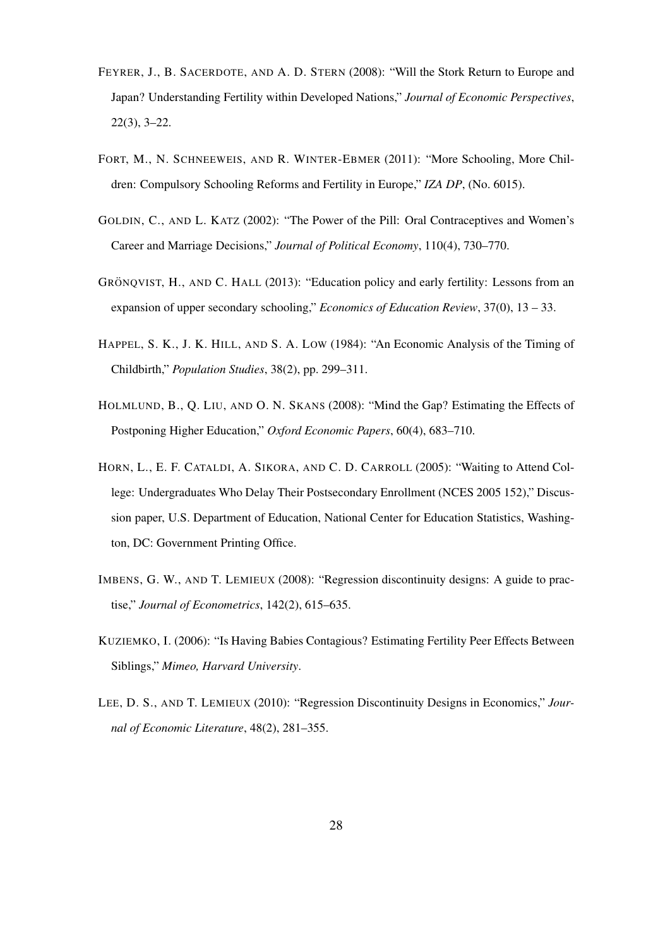- FEYRER, J., B. SACERDOTE, AND A. D. STERN (2008): "Will the Stork Return to Europe and Japan? Understanding Fertility within Developed Nations," *Journal of Economic Perspectives*, 22(3), 3–22.
- FORT, M., N. SCHNEEWEIS, AND R. WINTER-EBMER (2011): "More Schooling, More Children: Compulsory Schooling Reforms and Fertility in Europe," *IZA DP*, (No. 6015).
- GOLDIN, C., AND L. KATZ (2002): "The Power of the Pill: Oral Contraceptives and Women's Career and Marriage Decisions," *Journal of Political Economy*, 110(4), 730–770.
- GRÖNQVIST, H., AND C. HALL (2013): "Education policy and early fertility: Lessons from an expansion of upper secondary schooling," *Economics of Education Review*, 37(0), 13 – 33.
- HAPPEL, S. K., J. K. HILL, AND S. A. LOW (1984): "An Economic Analysis of the Timing of Childbirth," *Population Studies*, 38(2), pp. 299–311.
- HOLMLUND, B., Q. LIU, AND O. N. SKANS (2008): "Mind the Gap? Estimating the Effects of Postponing Higher Education," *Oxford Economic Papers*, 60(4), 683–710.
- HORN, L., E. F. CATALDI, A. SIKORA, AND C. D. CARROLL (2005): "Waiting to Attend College: Undergraduates Who Delay Their Postsecondary Enrollment (NCES 2005 152)," Discussion paper, U.S. Department of Education, National Center for Education Statistics, Washington, DC: Government Printing Office.
- IMBENS, G. W., AND T. LEMIEUX (2008): "Regression discontinuity designs: A guide to practise," *Journal of Econometrics*, 142(2), 615–635.
- KUZIEMKO, I. (2006): "Is Having Babies Contagious? Estimating Fertility Peer Effects Between Siblings," *Mimeo, Harvard University*.
- LEE, D. S., AND T. LEMIEUX (2010): "Regression Discontinuity Designs in Economics," *Journal of Economic Literature*, 48(2), 281–355.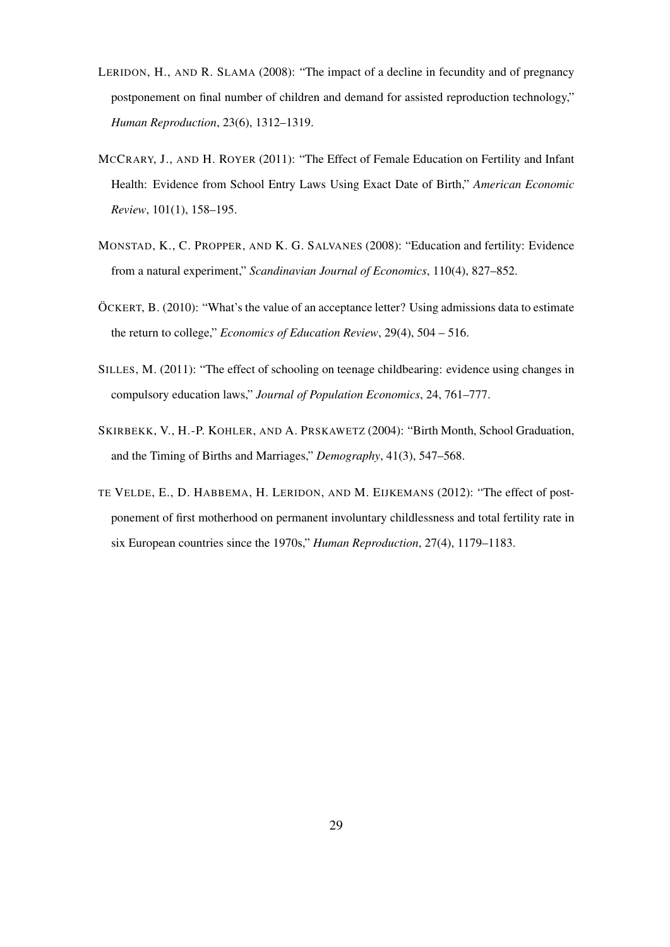- LERIDON, H., AND R. SLAMA (2008): "The impact of a decline in fecundity and of pregnancy postponement on final number of children and demand for assisted reproduction technology," *Human Reproduction*, 23(6), 1312–1319.
- MCCRARY, J., AND H. ROYER (2011): "The Effect of Female Education on Fertility and Infant Health: Evidence from School Entry Laws Using Exact Date of Birth," *American Economic Review*, 101(1), 158–195.
- MONSTAD, K., C. PROPPER, AND K. G. SALVANES (2008): "Education and fertility: Evidence from a natural experiment," *Scandinavian Journal of Economics*, 110(4), 827–852.
- ÖCKERT, B. (2010): "What's the value of an acceptance letter? Using admissions data to estimate the return to college," *Economics of Education Review*, 29(4), 504 – 516.
- SILLES, M. (2011): "The effect of schooling on teenage childbearing: evidence using changes in compulsory education laws," *Journal of Population Economics*, 24, 761–777.
- SKIRBEKK, V., H.-P. KOHLER, AND A. PRSKAWETZ (2004): "Birth Month, School Graduation, and the Timing of Births and Marriages," *Demography*, 41(3), 547–568.
- TE VELDE, E., D. HABBEMA, H. LERIDON, AND M. EIJKEMANS (2012): "The effect of postponement of first motherhood on permanent involuntary childlessness and total fertility rate in six European countries since the 1970s," *Human Reproduction*, 27(4), 1179–1183.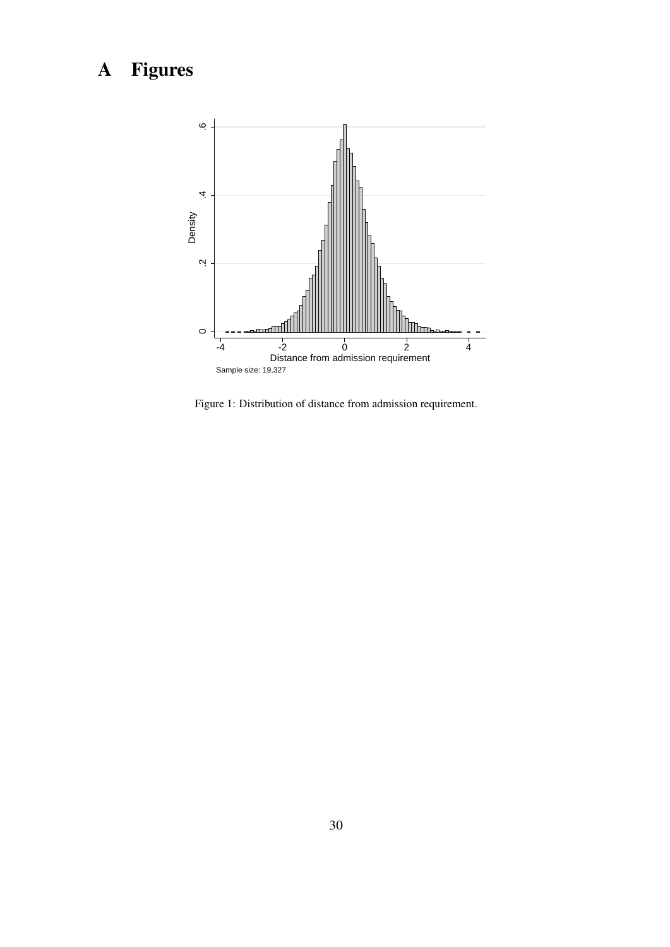# A Figures



Figure 1: Distribution of distance from admission requirement.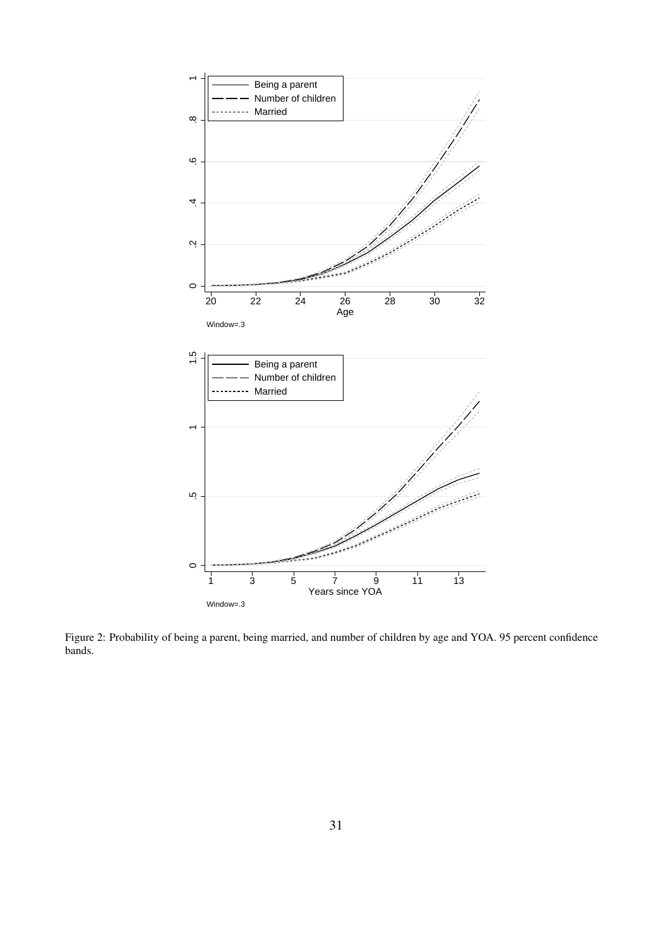

Figure 2: Probability of being a parent, being married, and number of children by age and YOA. 95 percent confidence bands.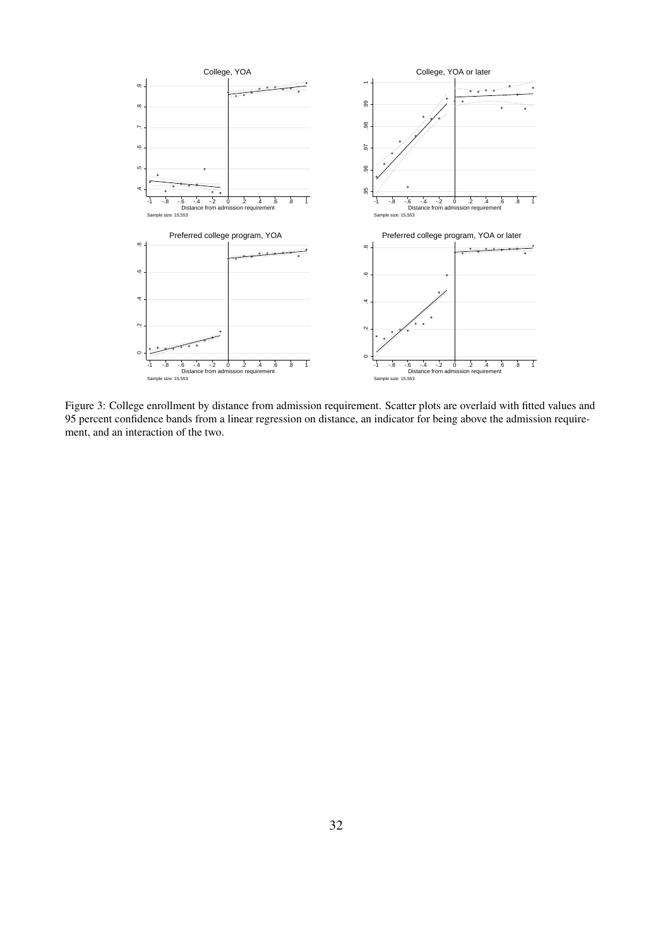

Figure 3: College enrollment by distance from admission requirement. Scatter plots are overlaid with fitted values and 95 percent confidence bands from a linear regression on distance, an indicator for being above the admission requirement, and an interaction of the two.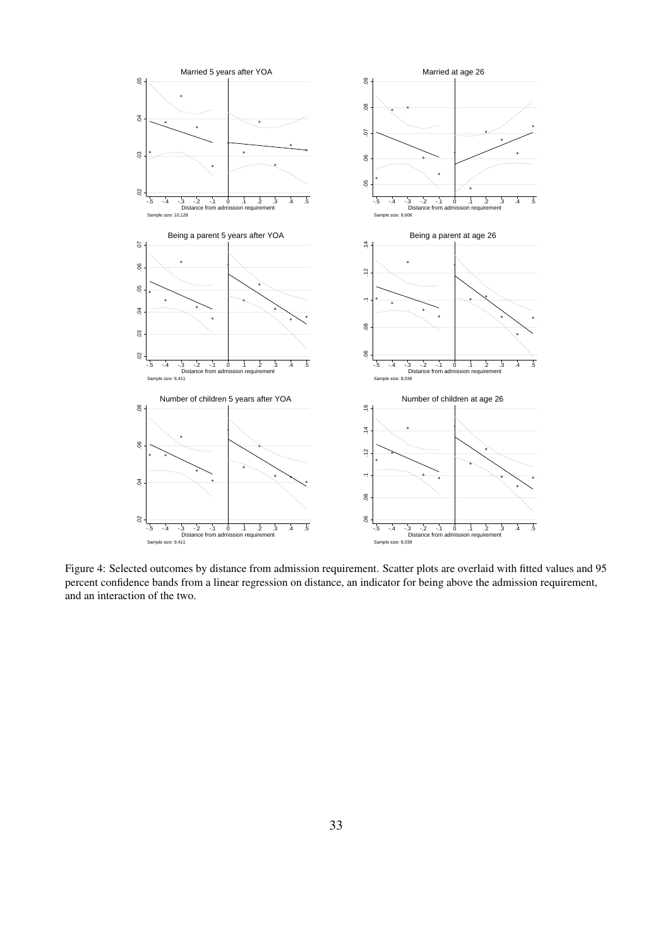

Figure 4: Selected outcomes by distance from admission requirement. Scatter plots are overlaid with fitted values and 95 percent confidence bands from a linear regression on distance, an indicator for being above the admission requirement, and an interaction of the two.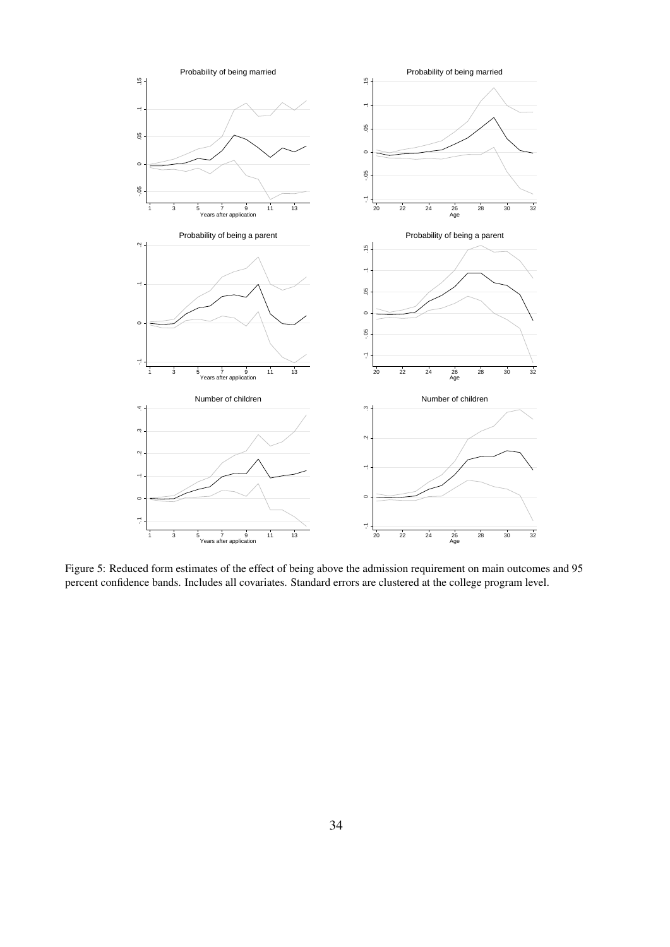

Figure 5: Reduced form estimates of the effect of being above the admission requirement on main outcomes and 95 percent confidence bands. Includes all covariates. Standard errors are clustered at the college program level.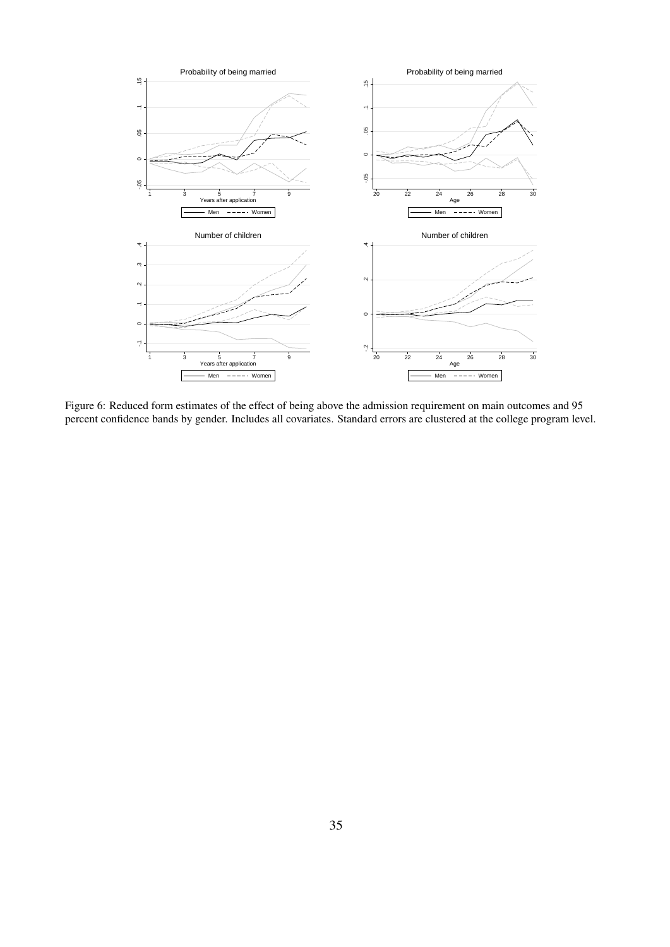

Figure 6: Reduced form estimates of the effect of being above the admission requirement on main outcomes and 95 percent confidence bands by gender. Includes all covariates. Standard errors are clustered at the college program level.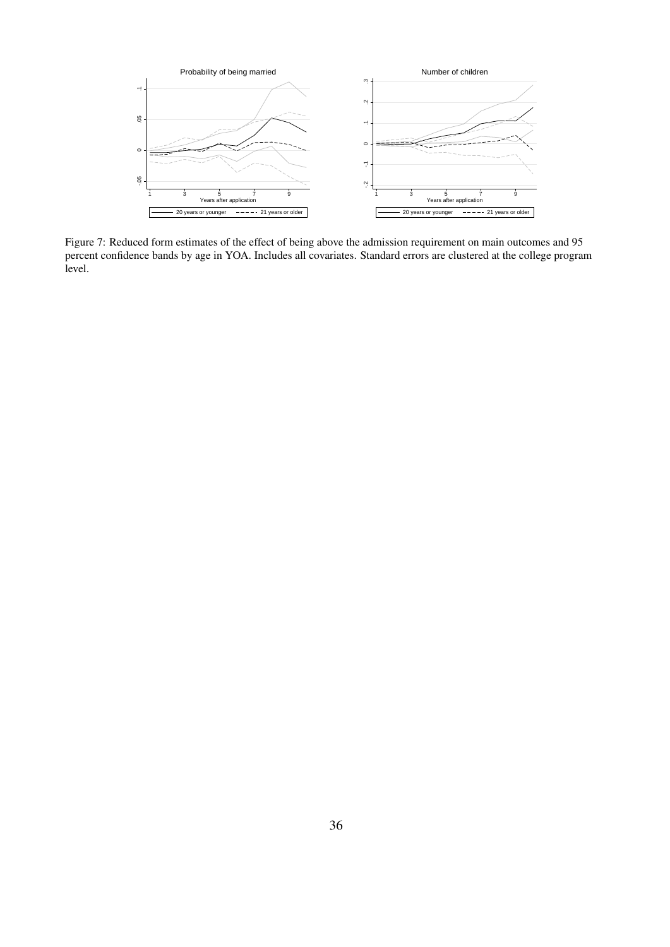

Figure 7: Reduced form estimates of the effect of being above the admission requirement on main outcomes and 95 percent confidence bands by age in YOA. Includes all covariates. Standard errors are clustered at the college program level.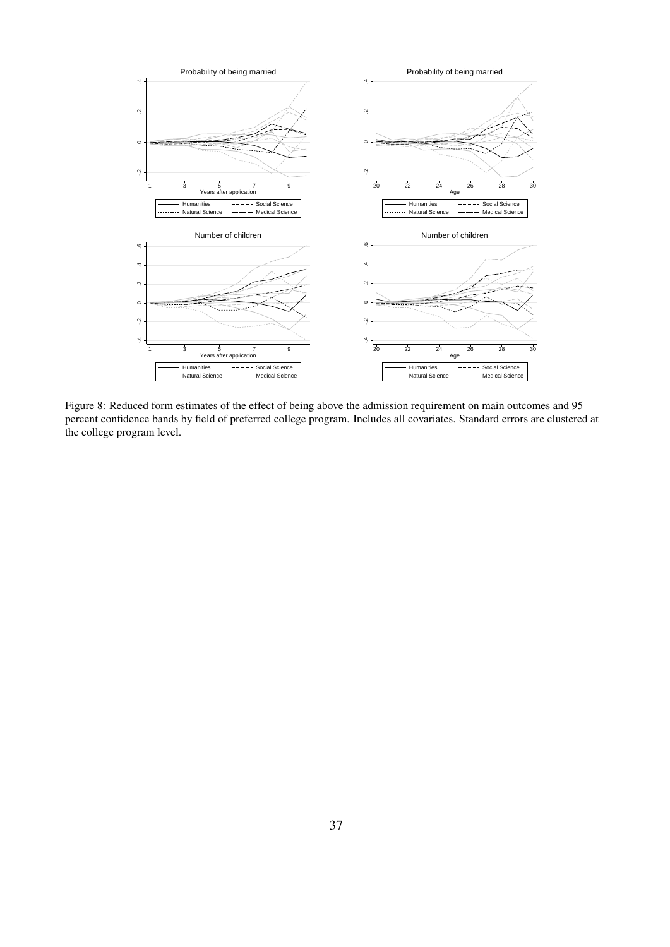

Figure 8: Reduced form estimates of the effect of being above the admission requirement on main outcomes and 95 percent confidence bands by field of preferred college program. Includes all covariates. Standard errors are clustered at the college program level.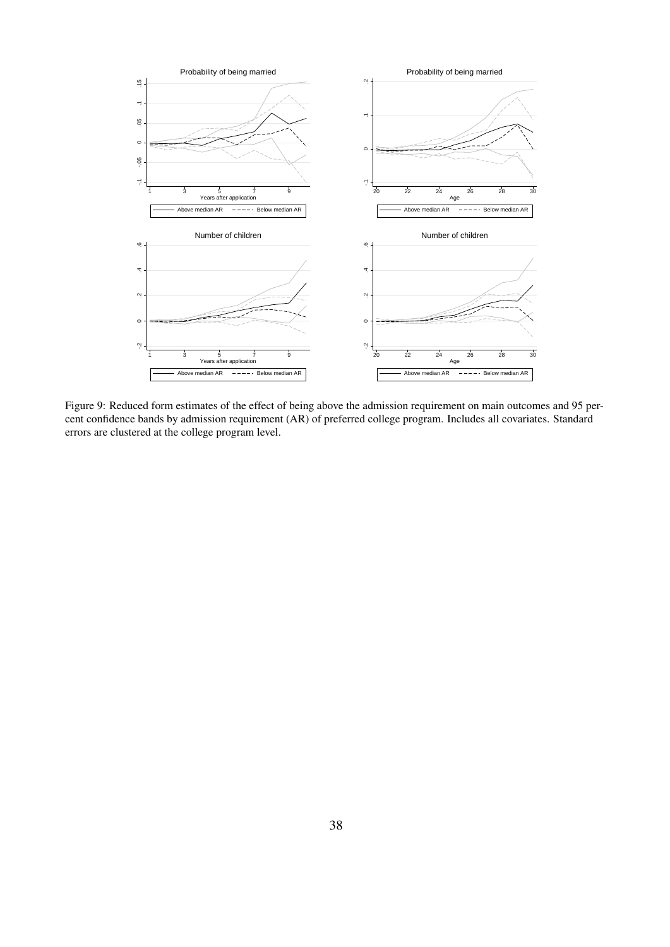

Figure 9: Reduced form estimates of the effect of being above the admission requirement on main outcomes and 95 percent confidence bands by admission requirement (AR) of preferred college program. Includes all covariates. Standard errors are clustered at the college program level.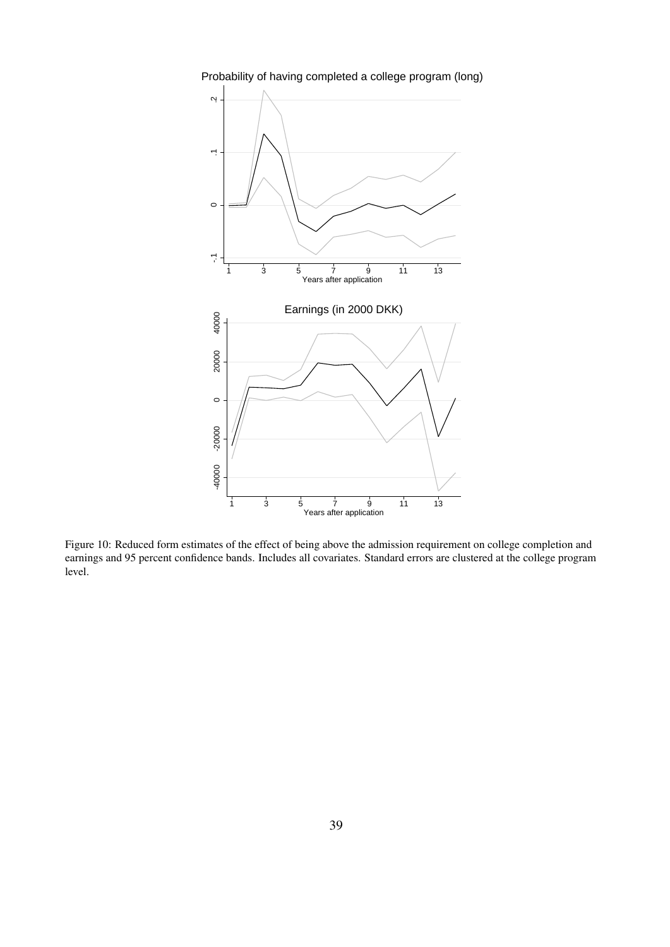

Probability of having completed a college program (long)

Figure 10: Reduced form estimates of the effect of being above the admission requirement on college completion and earnings and 95 percent confidence bands. Includes all covariates. Standard errors are clustered at the college program level.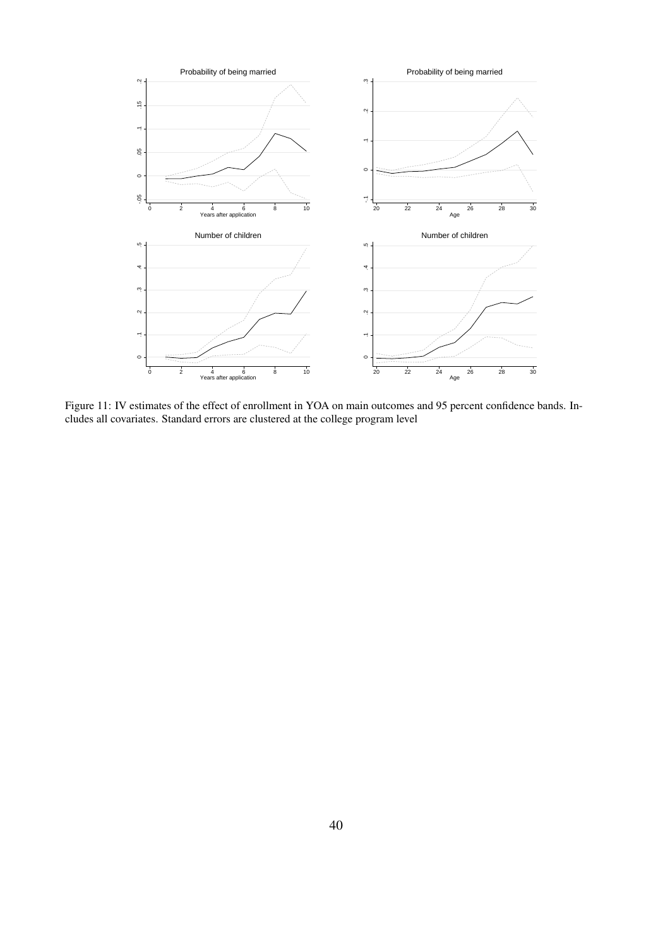

Figure 11: IV estimates of the effect of enrollment in YOA on main outcomes and 95 percent confidence bands. Includes all covariates. Standard errors are clustered at the college program level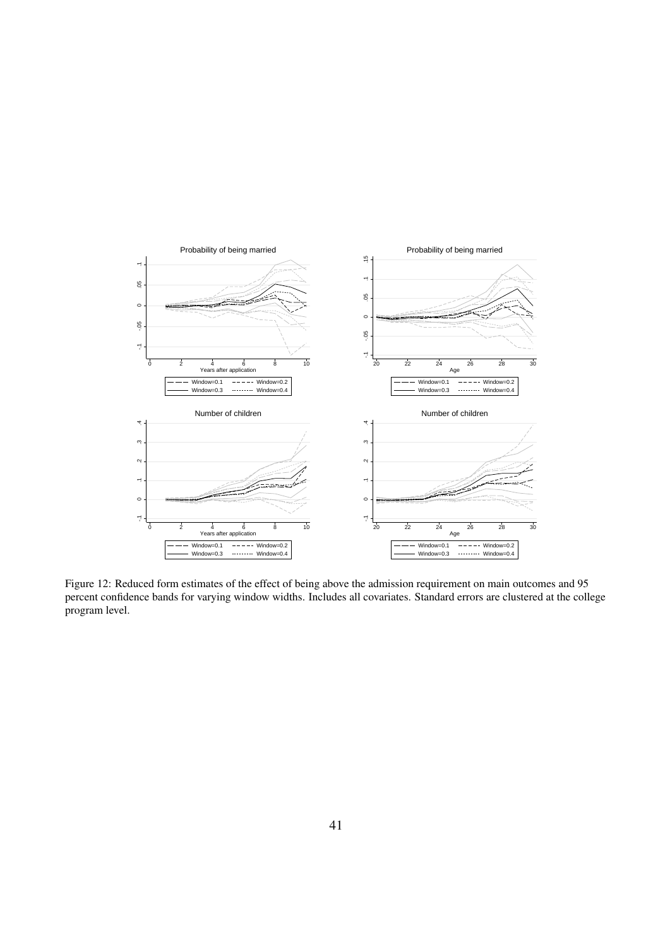

Figure 12: Reduced form estimates of the effect of being above the admission requirement on main outcomes and 95 percent confidence bands for varying window widths. Includes all covariates. Standard errors are clustered at the college program level.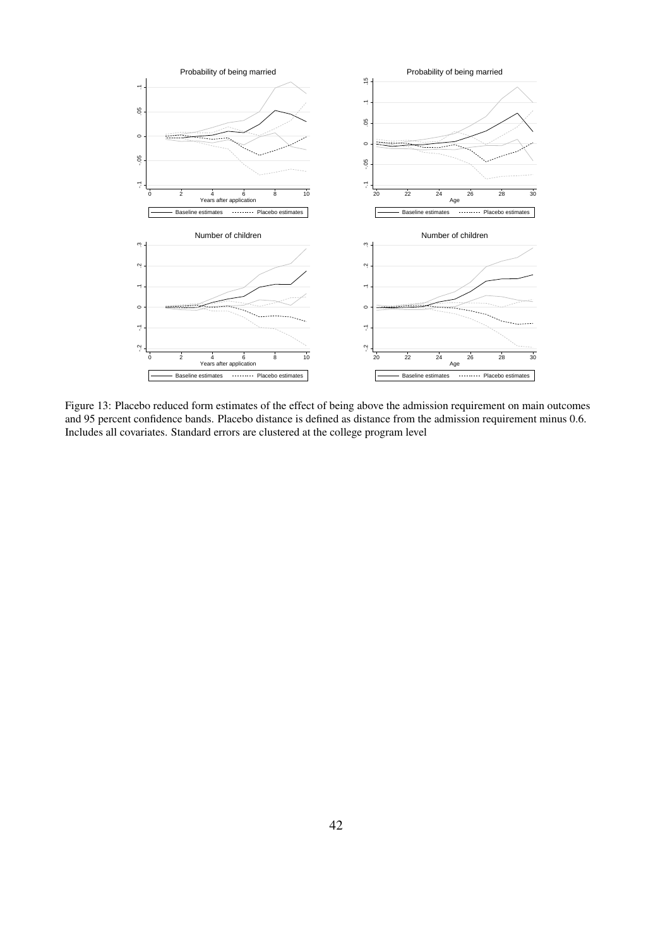

Figure 13: Placebo reduced form estimates of the effect of being above the admission requirement on main outcomes and 95 percent confidence bands. Placebo distance is defined as distance from the admission requirement minus 0.6. Includes all covariates. Standard errors are clustered at the college program level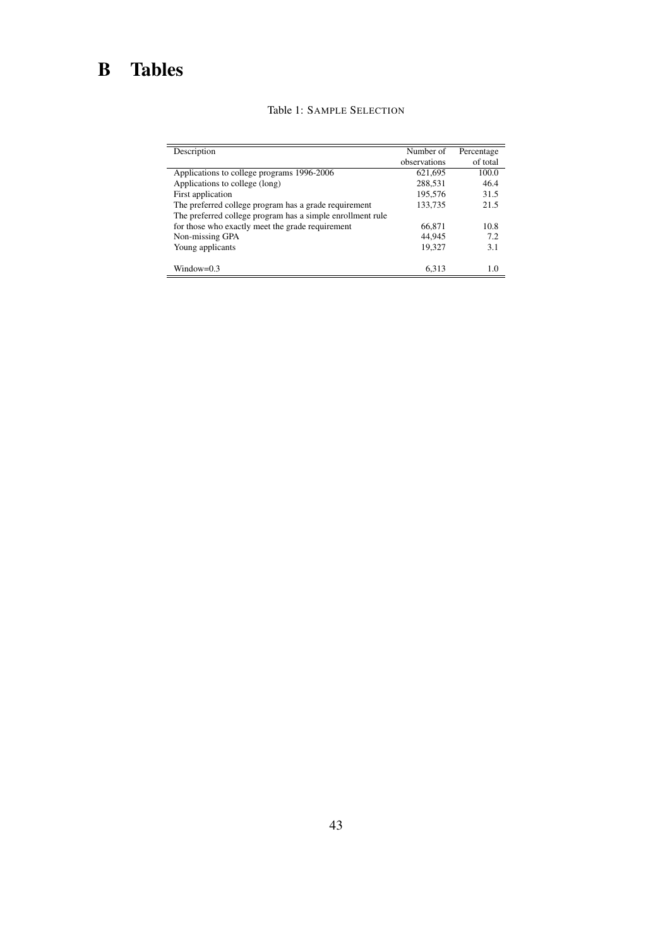# B Tables

| Description                                                | Number of    | Percentage |
|------------------------------------------------------------|--------------|------------|
|                                                            | observations | of total   |
| Applications to college programs 1996-2006                 | 621,695      | 100.0      |
| Applications to college (long)                             | 288,531      | 46.4       |
| First application                                          | 195,576      | 31.5       |
| The preferred college program has a grade requirement      | 133,735      | 21.5       |
| The preferred college program has a simple enrollment rule |              |            |
| for those who exactly meet the grade requirement           | 66,871       | 10.8       |
| Non-missing GPA                                            | 44.945       | 7.2        |
| Young applicants                                           | 19,327       | 3.1        |
|                                                            |              |            |
| $Window=0.3$                                               | 6.313        | 1.0        |

#### Table 1: SAMPLE SELECTION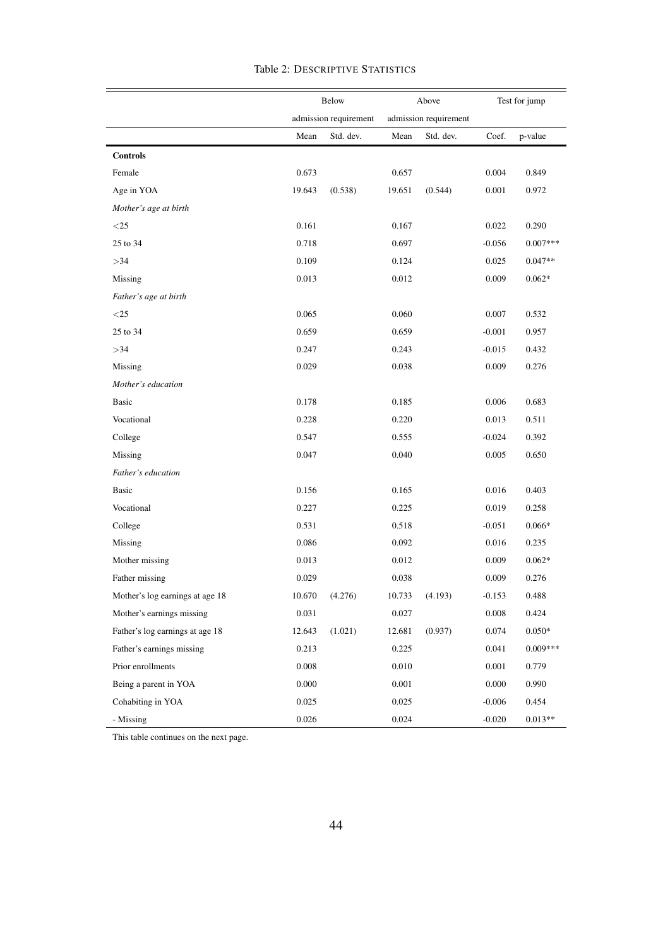|                                 | Below      |                       | Above  |                       | Test for jump |            |
|---------------------------------|------------|-----------------------|--------|-----------------------|---------------|------------|
|                                 |            | admission requirement |        | admission requirement |               |            |
|                                 | Mean       | Std. dev.             | Mean   | Std. dev.             | Coef.         | p-value    |
| <b>Controls</b>                 |            |                       |        |                       |               |            |
| Female                          | 0.673      |                       | 0.657  |                       | 0.004         | 0.849      |
| Age in YOA                      | 19.643     | (0.538)               | 19.651 | (0.544)               | 0.001         | 0.972      |
| Mother's age at birth           |            |                       |        |                       |               |            |
| $<$ 25                          | 0.161      |                       | 0.167  |                       | 0.022         | 0.290      |
| 25 to 34                        | 0.718      |                       | 0.697  |                       | $-0.056$      | $0.007***$ |
| >34                             | 0.109      |                       | 0.124  |                       | 0.025         | $0.047**$  |
| Missing                         | 0.013      |                       | 0.012  |                       | 0.009         | $0.062*$   |
| Father's age at birth           |            |                       |        |                       |               |            |
| $<$ 25                          | 0.065      |                       | 0.060  |                       | 0.007         | 0.532      |
| 25 to 34                        | 0.659      |                       | 0.659  |                       | $-0.001$      | 0.957      |
| >34                             | 0.247      |                       | 0.243  |                       | $-0.015$      | 0.432      |
| Missing                         | 0.029      |                       | 0.038  |                       | 0.009         | 0.276      |
| Mother's education              |            |                       |        |                       |               |            |
| Basic                           | 0.178      |                       | 0.185  |                       | 0.006         | 0.683      |
| Vocational                      | 0.228      |                       | 0.220  |                       | 0.013         | 0.511      |
| College                         | 0.547      |                       | 0.555  |                       | $-0.024$      | 0.392      |
| Missing                         | 0.047      |                       | 0.040  |                       | 0.005         | 0.650      |
| Father's education              |            |                       |        |                       |               |            |
| <b>Basic</b>                    | 0.156      |                       | 0.165  |                       | 0.016         | 0.403      |
| Vocational                      | 0.227      |                       | 0.225  |                       | 0.019         | 0.258      |
| College                         | 0.531      |                       | 0.518  |                       | $-0.051$      | $0.066*$   |
| Missing                         | 0.086      |                       | 0.092  |                       | 0.016         | 0.235      |
| Mother missing                  | 0.013      |                       | 0.012  |                       | 0.009         | $0.062*$   |
| Father missing                  | 0.029      |                       | 0.038  |                       | 0.009         | 0.276      |
| Mother's log earnings at age 18 | $10.670\,$ | (4.276)               | 10.733 | (4.193)               | $-0.153$      | 0.488      |
| Mother's earnings missing       | 0.031      |                       | 0.027  |                       | 0.008         | 0.424      |
| Father's log earnings at age 18 | 12.643     | (1.021)               | 12.681 | (0.937)               | 0.074         | $0.050*$   |
| Father's earnings missing       | 0.213      |                       | 0.225  |                       | 0.041         | $0.009***$ |
| Prior enrollments               | 0.008      |                       | 0.010  |                       | 0.001         | 0.779      |
| Being a parent in YOA           | 0.000      |                       | 0.001  |                       | 0.000         | 0.990      |
| Cohabiting in YOA               | 0.025      |                       | 0.025  |                       | $-0.006$      | 0.454      |
| - Missing                       | 0.026      |                       | 0.024  |                       | $-0.020$      | $0.013**$  |

#### Table 2: DESCRIPTIVE STATISTICS

This table continues on the next page.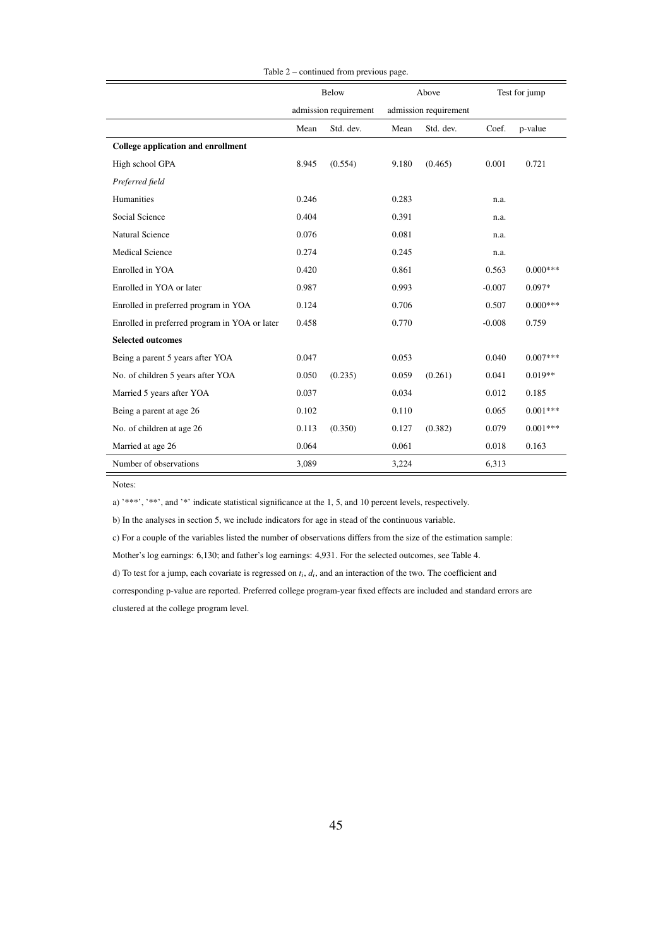|                                               | Below                 |           | Above                 |           | Test for jump |            |
|-----------------------------------------------|-----------------------|-----------|-----------------------|-----------|---------------|------------|
|                                               | admission requirement |           | admission requirement |           |               |            |
|                                               | Mean                  | Std. dev. | Mean                  | Std. dev. | Coef.         | p-value    |
| College application and enrollment            |                       |           |                       |           |               |            |
| High school GPA                               | 8.945                 | (0.554)   | 9.180                 | (0.465)   | 0.001         | 0.721      |
| Preferred field                               |                       |           |                       |           |               |            |
| Humanities                                    | 0.246                 |           | 0.283                 |           | n.a.          |            |
| Social Science                                | 0.404                 |           | 0.391                 |           | n.a.          |            |
| <b>Natural Science</b>                        | 0.076                 |           | 0.081                 |           | n.a.          |            |
| <b>Medical Science</b>                        | 0.274                 |           | 0.245                 |           | n.a.          |            |
| Enrolled in YOA                               | 0.420                 |           | 0.861                 |           | 0.563         | $0.000***$ |
| Enrolled in YOA or later                      | 0.987                 |           | 0.993                 |           | $-0.007$      | $0.097*$   |
| Enrolled in preferred program in YOA          | 0.124                 |           | 0.706                 |           | 0.507         | $0.000***$ |
| Enrolled in preferred program in YOA or later | 0.458                 |           | 0.770                 |           | $-0.008$      | 0.759      |
| <b>Selected outcomes</b>                      |                       |           |                       |           |               |            |
| Being a parent 5 years after YOA              | 0.047                 |           | 0.053                 |           | 0.040         | $0.007***$ |
| No. of children 5 years after YOA             | 0.050                 | (0.235)   | 0.059                 | (0.261)   | 0.041         | $0.019**$  |
| Married 5 years after YOA                     | 0.037                 |           | 0.034                 |           | 0.012         | 0.185      |
| Being a parent at age 26                      | 0.102                 |           | 0.110                 |           | 0.065         | $0.001***$ |
| No. of children at age 26                     | 0.113                 | (0.350)   | 0.127                 | (0.382)   | 0.079         | $0.001***$ |
| Married at age 26                             | 0.064                 |           | 0.061                 |           | 0.018         | 0.163      |
| Number of observations                        | 3,089                 |           | 3,224                 |           | 6,313         |            |

#### Table 2 – continued from previous page.

Notes:

a) '\*\*\*', '\*\*', and '\*' indicate statistical significance at the 1, 5, and 10 percent levels, respectively.

b) In the analyses in section 5, we include indicators for age in stead of the continuous variable.

c) For a couple of the variables listed the number of observations differs from the size of the estimation sample:

Mother's log earnings: 6,130; and father's log earnings: 4,931. For the selected outcomes, see Table 4.

d) To test for a jump, each covariate is regressed on  $t_i$ ,  $d_i$ , and an interaction of the two. The coefficient and

corresponding p-value are reported. Preferred college program-year fixed effects are included and standard errors are clustered at the college program level.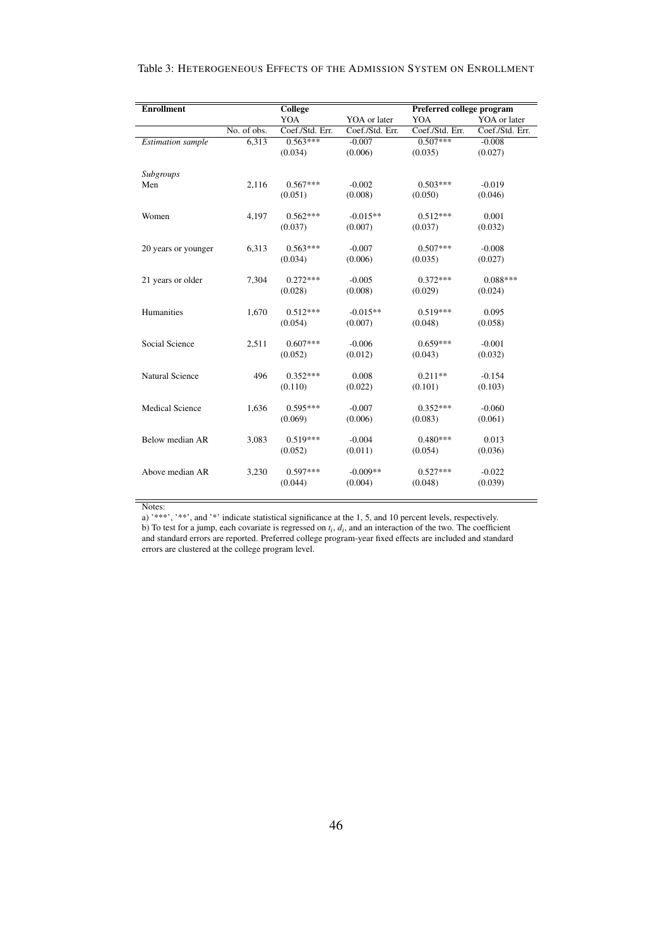#### Table 3: HETEROGENEOUS EFFECTS OF THE ADMISSION SYSTEM ON ENROLLMENT

| <b>Enrollment</b>        | <b>College</b> |                 |                 | Preferred college program |                 |  |  |
|--------------------------|----------------|-----------------|-----------------|---------------------------|-----------------|--|--|
|                          |                | YOA             | YOA or later    | YOA                       | YOA or later    |  |  |
|                          | No. of obs.    | Coef./Std. Err. | Coef./Std. Err. | Coef./Std. Err.           | Coef./Std. Err. |  |  |
| <b>Estimation</b> sample | 6,313          | $0.563***$      | $-0.007$        | $0.507***$                | $-0.008$        |  |  |
|                          |                | (0.034)         | (0.006)         | (0.035)                   | (0.027)         |  |  |
| Subgroups                |                |                 |                 |                           |                 |  |  |
| Men                      | 2,116          | $0.567***$      | $-0.002$        | $0.503***$                | $-0.019$        |  |  |
|                          |                | (0.051)         | (0.008)         | (0.050)                   | (0.046)         |  |  |
| Women                    | 4,197          | $0.562***$      | $-0.015**$      | $0.512***$                | 0.001           |  |  |
|                          |                | (0.037)         | (0.007)         | (0.037)                   | (0.032)         |  |  |
| 20 years or younger      | 6,313          | $0.563***$      | $-0.007$        | $0.507***$                | $-0.008$        |  |  |
|                          |                | (0.034)         | (0.006)         | (0.035)                   | (0.027)         |  |  |
| 21 years or older        | 7,304          | $0.272***$      | $-0.005$        | $0.372***$                | $0.088***$      |  |  |
|                          |                | (0.028)         | (0.008)         | (0.029)                   | (0.024)         |  |  |
| Humanities               | 1,670          | $0.512***$      | $-0.015**$      | $0.519***$                | 0.095           |  |  |
|                          |                | (0.054)         | (0.007)         | (0.048)                   | (0.058)         |  |  |
| Social Science           | 2,511          | $0.607***$      | $-0.006$        | $0.659***$                | $-0.001$        |  |  |
|                          |                | (0.052)         | (0.012)         | (0.043)                   | (0.032)         |  |  |
| <b>Natural Science</b>   | 496            | $0.352***$      | 0.008           | $0.211**$                 | $-0.154$        |  |  |
|                          |                | (0.110)         | (0.022)         | (0.101)                   | (0.103)         |  |  |
| <b>Medical Science</b>   | 1,636          | $0.595***$      | $-0.007$        | $0.352***$                | $-0.060$        |  |  |
|                          |                | (0.069)         | (0.006)         | (0.083)                   | (0.061)         |  |  |
| Below median AR          | 3,083          | $0.519***$      | $-0.004$        | $0.480***$                | 0.013           |  |  |
|                          |                | (0.052)         | (0.011)         | (0.054)                   | (0.036)         |  |  |
| Above median AR          | 3,230          | $0.597***$      | $-0.009**$      | $0.527***$                | $-0.022$        |  |  |
|                          |                | (0.044)         | (0.004)         | (0.048)                   | (0.039)         |  |  |
|                          |                |                 |                 |                           |                 |  |  |

Notes:

a) '\*\*\*', '\*\*', and '\*' indicate statistical significance at the 1, 5, and 10 percent levels, respectively.

b) To test for a jump, each covariate is regressed on  $t_i$ ,  $d_i$ , and an interaction of the two. The coefficient and standard errors are reported. Preferred college program-year fixed effects are included and standard errors are clustered at the college program level.